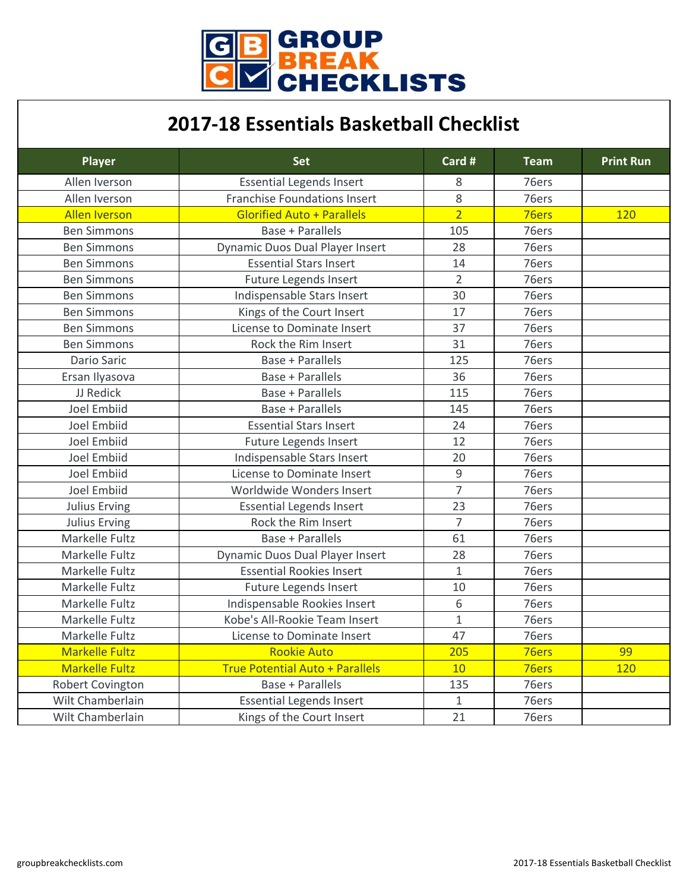

## **2017-18 Essentials Basketball Checklist**

| <b>Player</b>           | <b>Set</b>                             | Card #         | <b>Team</b> | <b>Print Run</b> |
|-------------------------|----------------------------------------|----------------|-------------|------------------|
| Allen Iverson           | <b>Essential Legends Insert</b>        | 8              | 76ers       |                  |
| Allen Iverson           | <b>Franchise Foundations Insert</b>    | 8              | 76ers       |                  |
| <b>Allen Iverson</b>    | <b>Glorified Auto + Parallels</b>      | $\overline{2}$ | 76ers       | 120              |
| <b>Ben Simmons</b>      | <b>Base + Parallels</b>                | 105            | 76ers       |                  |
| <b>Ben Simmons</b>      | <b>Dynamic Duos Dual Player Insert</b> | 28             | 76ers       |                  |
| <b>Ben Simmons</b>      | <b>Essential Stars Insert</b>          | 14             | 76ers       |                  |
| <b>Ben Simmons</b>      | <b>Future Legends Insert</b>           | $\overline{2}$ | 76ers       |                  |
| <b>Ben Simmons</b>      | Indispensable Stars Insert             | 30             | 76ers       |                  |
| <b>Ben Simmons</b>      | Kings of the Court Insert              | 17             | 76ers       |                  |
| <b>Ben Simmons</b>      | License to Dominate Insert             | 37             | 76ers       |                  |
| <b>Ben Simmons</b>      | Rock the Rim Insert                    | 31             | 76ers       |                  |
| <b>Dario Saric</b>      | <b>Base + Parallels</b>                | 125            | 76ers       |                  |
| Ersan Ilyasova          | <b>Base + Parallels</b>                | 36             | 76ers       |                  |
| JJ Redick               | <b>Base + Parallels</b>                | 115            | 76ers       |                  |
| <b>Joel Embiid</b>      | <b>Base + Parallels</b>                | 145            | 76ers       |                  |
| <b>Joel Embiid</b>      | <b>Essential Stars Insert</b>          | 24             | 76ers       |                  |
| <b>Joel Embiid</b>      | <b>Future Legends Insert</b>           | 12             | 76ers       |                  |
| <b>Joel Embiid</b>      | Indispensable Stars Insert             | 20             | 76ers       |                  |
| <b>Joel Embiid</b>      | <b>License to Dominate Insert</b>      | 9              | 76ers       |                  |
| <b>Joel Embiid</b>      | Worldwide Wonders Insert               | $\overline{7}$ | 76ers       |                  |
| <b>Julius Erving</b>    | <b>Essential Legends Insert</b>        | 23             | 76ers       |                  |
| <b>Julius Erving</b>    | Rock the Rim Insert                    | $\overline{7}$ | 76ers       |                  |
| <b>Markelle Fultz</b>   | <b>Base + Parallels</b>                | 61             | 76ers       |                  |
| <b>Markelle Fultz</b>   | <b>Dynamic Duos Dual Player Insert</b> | 28             | 76ers       |                  |
| <b>Markelle Fultz</b>   | <b>Essential Rookies Insert</b>        | $\mathbf{1}$   | 76ers       |                  |
| <b>Markelle Fultz</b>   | <b>Future Legends Insert</b>           | 10             | 76ers       |                  |
| Markelle Fultz          | Indispensable Rookies Insert           | 6              | 76ers       |                  |
| <b>Markelle Fultz</b>   | Kobe's All-Rookie Team Insert          | $\mathbf{1}$   | 76ers       |                  |
| Markelle Fultz          | License to Dominate Insert             | 47             | 76ers       |                  |
| <b>Markelle Fultz</b>   | <b>Rookie Auto</b>                     | 205            | 76ers       | 99               |
| <b>Markelle Fultz</b>   | <b>True Potential Auto + Parallels</b> | 10             | 76ers       | 120              |
| <b>Robert Covington</b> | <b>Base + Parallels</b>                | 135            | 76ers       |                  |
| Wilt Chamberlain        | <b>Essential Legends Insert</b>        | $\mathbf{1}$   | 76ers       |                  |
| Wilt Chamberlain        | Kings of the Court Insert              | 21             | 76ers       |                  |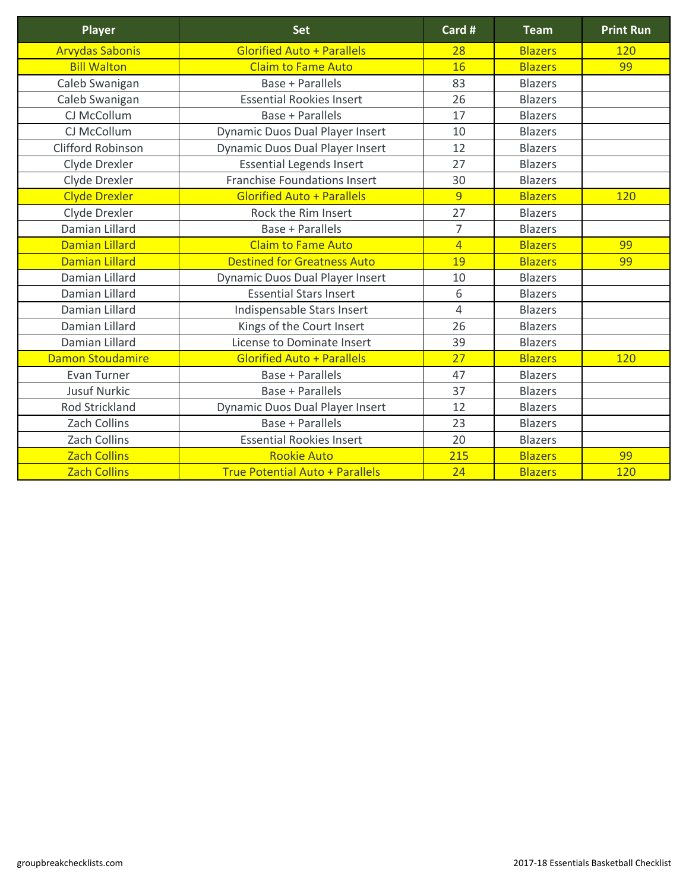| <b>Player</b>            | <b>Set</b>                             | Card #         | <b>Team</b>    | <b>Print Run</b> |
|--------------------------|----------------------------------------|----------------|----------------|------------------|
| <b>Arvydas Sabonis</b>   | <b>Glorified Auto + Parallels</b>      | 28             | <b>Blazers</b> | 120              |
| <b>Bill Walton</b>       | <b>Claim to Fame Auto</b>              | 16             | <b>Blazers</b> | 99               |
| Caleb Swanigan           | <b>Base + Parallels</b>                | 83             | <b>Blazers</b> |                  |
| Caleb Swanigan           | <b>Essential Rookies Insert</b>        | 26             | <b>Blazers</b> |                  |
| CJ McCollum              | <b>Base + Parallels</b>                | 17             | <b>Blazers</b> |                  |
| CJ McCollum              | <b>Dynamic Duos Dual Player Insert</b> | 10             | <b>Blazers</b> |                  |
| <b>Clifford Robinson</b> | <b>Dynamic Duos Dual Player Insert</b> | 12             | <b>Blazers</b> |                  |
| Clyde Drexler            | <b>Essential Legends Insert</b>        | 27             | <b>Blazers</b> |                  |
| Clyde Drexler            | <b>Franchise Foundations Insert</b>    | 30             | <b>Blazers</b> |                  |
| <b>Clyde Drexler</b>     | <b>Glorified Auto + Parallels</b>      | 9              | <b>Blazers</b> | 120              |
| Clyde Drexler            | Rock the Rim Insert                    | 27             | <b>Blazers</b> |                  |
| Damian Lillard           | <b>Base + Parallels</b>                | $\overline{7}$ | <b>Blazers</b> |                  |
| <b>Damian Lillard</b>    | <b>Claim to Fame Auto</b>              | $\overline{4}$ | <b>Blazers</b> | 99               |
| <b>Damian Lillard</b>    | <b>Destined for Greatness Auto</b>     | 19             | <b>Blazers</b> | 99               |
| Damian Lillard           | <b>Dynamic Duos Dual Player Insert</b> | 10             | <b>Blazers</b> |                  |
| Damian Lillard           | <b>Essential Stars Insert</b>          | 6              | <b>Blazers</b> |                  |
| Damian Lillard           | Indispensable Stars Insert             | $\overline{4}$ | <b>Blazers</b> |                  |
| Damian Lillard           | Kings of the Court Insert              | 26             | <b>Blazers</b> |                  |
| Damian Lillard           | <b>License to Dominate Insert</b>      | 39             | <b>Blazers</b> |                  |
| <b>Damon Stoudamire</b>  | <b>Glorified Auto + Parallels</b>      | 27             | <b>Blazers</b> | 120              |
| <b>Evan Turner</b>       | <b>Base + Parallels</b>                | 47             | <b>Blazers</b> |                  |
| <b>Jusuf Nurkic</b>      | <b>Base + Parallels</b>                | 37             | <b>Blazers</b> |                  |
| <b>Rod Strickland</b>    | <b>Dynamic Duos Dual Player Insert</b> | 12             | <b>Blazers</b> |                  |
| <b>Zach Collins</b>      | <b>Base + Parallels</b>                | 23             | <b>Blazers</b> |                  |
| <b>Zach Collins</b>      | <b>Essential Rookies Insert</b>        | 20             | <b>Blazers</b> |                  |
| <b>Zach Collins</b>      | <b>Rookie Auto</b>                     | 215            | <b>Blazers</b> | 99               |
| <b>Zach Collins</b>      | <b>True Potential Auto + Parallels</b> | 24             | <b>Blazers</b> | 120              |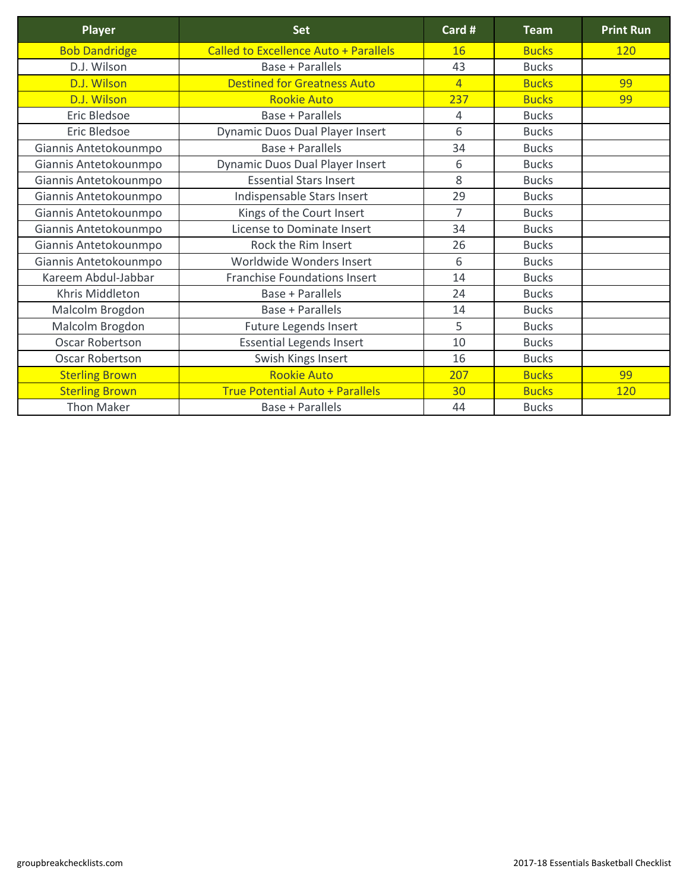| <b>Player</b>          | <b>Set</b>                                   | Card #         | <b>Team</b>  | <b>Print Run</b> |
|------------------------|----------------------------------------------|----------------|--------------|------------------|
| <b>Bob Dandridge</b>   | <b>Called to Excellence Auto + Parallels</b> | 16             | <b>Bucks</b> | <b>120</b>       |
| D.J. Wilson            | <b>Base + Parallels</b>                      | 43             | <b>Bucks</b> |                  |
| D.J. Wilson            | <b>Destined for Greatness Auto</b>           | $\overline{4}$ | <b>Bucks</b> | 99               |
| D.J. Wilson            | <b>Rookie Auto</b>                           | 237            | <b>Bucks</b> | 99               |
| <b>Eric Bledsoe</b>    | <b>Base + Parallels</b>                      | $\overline{4}$ | <b>Bucks</b> |                  |
| <b>Eric Bledsoe</b>    | <b>Dynamic Duos Dual Player Insert</b>       | 6              | <b>Bucks</b> |                  |
| Giannis Antetokounmpo  | <b>Base + Parallels</b>                      | 34             | <b>Bucks</b> |                  |
| Giannis Antetokounmpo  | <b>Dynamic Duos Dual Player Insert</b>       | 6              | <b>Bucks</b> |                  |
| Giannis Antetokounmpo  | <b>Essential Stars Insert</b>                | 8              | <b>Bucks</b> |                  |
| Giannis Antetokounmpo  | Indispensable Stars Insert                   | 29             | <b>Bucks</b> |                  |
| Giannis Antetokounmpo  | Kings of the Court Insert                    | $\overline{7}$ | <b>Bucks</b> |                  |
| Giannis Antetokounmpo  | License to Dominate Insert                   | 34             | <b>Bucks</b> |                  |
| Giannis Antetokounmpo  | Rock the Rim Insert                          | 26             | <b>Bucks</b> |                  |
| Giannis Antetokounmpo  | Worldwide Wonders Insert                     | 6              | <b>Bucks</b> |                  |
| Kareem Abdul-Jabbar    | <b>Franchise Foundations Insert</b>          | 14             | <b>Bucks</b> |                  |
| Khris Middleton        | Base + Parallels                             | 24             | <b>Bucks</b> |                  |
| Malcolm Brogdon        | <b>Base + Parallels</b>                      | 14             | <b>Bucks</b> |                  |
| Malcolm Brogdon        | <b>Future Legends Insert</b>                 | 5              | <b>Bucks</b> |                  |
| <b>Oscar Robertson</b> | <b>Essential Legends Insert</b>              | 10             | <b>Bucks</b> |                  |
| <b>Oscar Robertson</b> | Swish Kings Insert                           | 16             | <b>Bucks</b> |                  |
| <b>Sterling Brown</b>  | <b>Rookie Auto</b>                           | 207            | <b>Bucks</b> | 99               |
| <b>Sterling Brown</b>  | <b>True Potential Auto + Parallels</b>       | 30             | <b>Bucks</b> | 120              |
| <b>Thon Maker</b>      | <b>Base + Parallels</b>                      | 44             | <b>Bucks</b> |                  |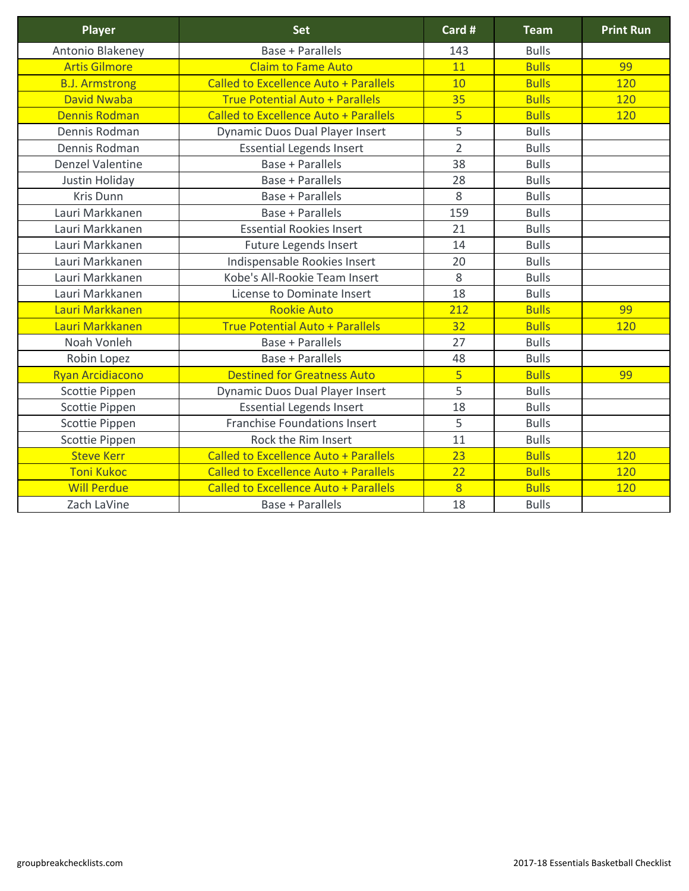| <b>Player</b>           | <b>Set</b>                                   | Card #         | <b>Team</b>  | <b>Print Run</b> |
|-------------------------|----------------------------------------------|----------------|--------------|------------------|
| Antonio Blakeney        | <b>Base + Parallels</b>                      | 143            | <b>Bulls</b> |                  |
| <b>Artis Gilmore</b>    | <b>Claim to Fame Auto</b>                    | 11             | <b>Bulls</b> | 99               |
| <b>B.J. Armstrong</b>   | <b>Called to Excellence Auto + Parallels</b> | <b>10</b>      | <b>Bulls</b> | 120              |
| <b>David Nwaba</b>      | <b>True Potential Auto + Parallels</b>       | 35             | <b>Bulls</b> | <b>120</b>       |
| <b>Dennis Rodman</b>    | <b>Called to Excellence Auto + Parallels</b> | 5              | <b>Bulls</b> | 120              |
| Dennis Rodman           | <b>Dynamic Duos Dual Player Insert</b>       | 5              | <b>Bulls</b> |                  |
| Dennis Rodman           | <b>Essential Legends Insert</b>              | $\overline{2}$ | <b>Bulls</b> |                  |
| <b>Denzel Valentine</b> | <b>Base + Parallels</b>                      | 38             | <b>Bulls</b> |                  |
| Justin Holiday          | <b>Base + Parallels</b>                      | 28             | <b>Bulls</b> |                  |
| <b>Kris Dunn</b>        | <b>Base + Parallels</b>                      | 8              | <b>Bulls</b> |                  |
| Lauri Markkanen         | <b>Base + Parallels</b>                      | 159            | <b>Bulls</b> |                  |
| Lauri Markkanen         | <b>Essential Rookies Insert</b>              | 21             | <b>Bulls</b> |                  |
| Lauri Markkanen         | <b>Future Legends Insert</b>                 | 14             | <b>Bulls</b> |                  |
| Lauri Markkanen         | Indispensable Rookies Insert                 | 20             | <b>Bulls</b> |                  |
| Lauri Markkanen         | Kobe's All-Rookie Team Insert                | 8              | <b>Bulls</b> |                  |
| Lauri Markkanen         | License to Dominate Insert                   | 18             | <b>Bulls</b> |                  |
| Lauri Markkanen         | <b>Rookie Auto</b>                           | 212            | <b>Bulls</b> | 99               |
| Lauri Markkanen         | <b>True Potential Auto + Parallels</b>       | 32             | <b>Bulls</b> | 120              |
| Noah Vonleh             | <b>Base + Parallels</b>                      | 27             | <b>Bulls</b> |                  |
| Robin Lopez             | <b>Base + Parallels</b>                      | 48             | <b>Bulls</b> |                  |
| <b>Ryan Arcidiacono</b> | <b>Destined for Greatness Auto</b>           | $\overline{5}$ | <b>Bulls</b> | 99               |
| <b>Scottie Pippen</b>   | <b>Dynamic Duos Dual Player Insert</b>       | 5              | <b>Bulls</b> |                  |
| <b>Scottie Pippen</b>   | <b>Essential Legends Insert</b>              | 18             | <b>Bulls</b> |                  |
| Scottie Pippen          | <b>Franchise Foundations Insert</b>          | 5              | <b>Bulls</b> |                  |
| <b>Scottie Pippen</b>   | Rock the Rim Insert                          | 11             | <b>Bulls</b> |                  |
| <b>Steve Kerr</b>       | <b>Called to Excellence Auto + Parallels</b> | 23             | <b>Bulls</b> | <b>120</b>       |
| <b>Toni Kukoc</b>       | <b>Called to Excellence Auto + Parallels</b> | 22             | <b>Bulls</b> | 120              |
| <b>Will Perdue</b>      | <b>Called to Excellence Auto + Parallels</b> | 8              | <b>Bulls</b> | 120              |
| Zach LaVine             | <b>Base + Parallels</b>                      | 18             | <b>Bulls</b> |                  |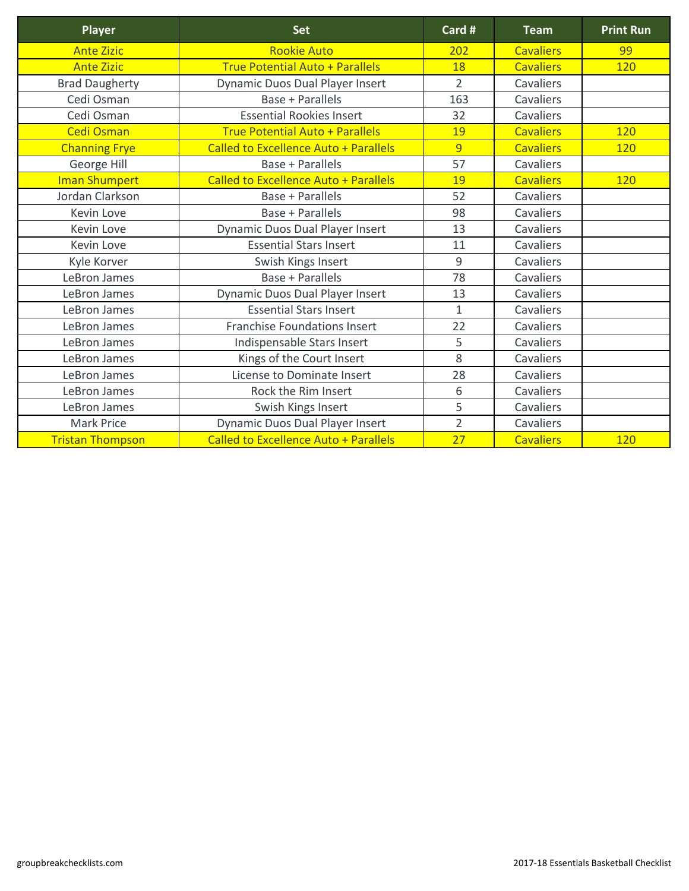| <b>Player</b>           | <b>Set</b>                                   | Card #         | <b>Team</b>      | <b>Print Run</b> |
|-------------------------|----------------------------------------------|----------------|------------------|------------------|
| <b>Ante Zizic</b>       | <b>Rookie Auto</b>                           | 202            | <b>Cavaliers</b> | 99               |
| <b>Ante Zizic</b>       | <b>True Potential Auto + Parallels</b>       | 18             | <b>Cavaliers</b> | 120              |
| <b>Brad Daugherty</b>   | <b>Dynamic Duos Dual Player Insert</b>       | $\overline{2}$ | Cavaliers        |                  |
| Cedi Osman              | <b>Base + Parallels</b>                      | 163            | Cavaliers        |                  |
| Cedi Osman              | <b>Essential Rookies Insert</b>              | 32             | Cavaliers        |                  |
| <b>Cedi Osman</b>       | <b>True Potential Auto + Parallels</b>       | 19             | <b>Cavaliers</b> | 120              |
| <b>Channing Frye</b>    | <b>Called to Excellence Auto + Parallels</b> | $\overline{9}$ | <b>Cavaliers</b> | 120              |
| George Hill             | <b>Base + Parallels</b>                      | 57             | Cavaliers        |                  |
| <b>Iman Shumpert</b>    | <b>Called to Excellence Auto + Parallels</b> | 19             | <b>Cavaliers</b> | 120              |
| Jordan Clarkson         | <b>Base + Parallels</b>                      | 52             | Cavaliers        |                  |
| <b>Kevin Love</b>       | <b>Base + Parallels</b>                      | 98             | Cavaliers        |                  |
| <b>Kevin Love</b>       | <b>Dynamic Duos Dual Player Insert</b>       | 13             | Cavaliers        |                  |
| <b>Kevin Love</b>       | <b>Essential Stars Insert</b>                | 11             | Cavaliers        |                  |
| Kyle Korver             | Swish Kings Insert                           | 9              | <b>Cavaliers</b> |                  |
| LeBron James            | <b>Base + Parallels</b>                      | 78             | Cavaliers        |                  |
| LeBron James            | <b>Dynamic Duos Dual Player Insert</b>       | 13             | Cavaliers        |                  |
| LeBron James            | <b>Essential Stars Insert</b>                | $\mathbf{1}$   | Cavaliers        |                  |
| LeBron James            | <b>Franchise Foundations Insert</b>          | 22             | Cavaliers        |                  |
| LeBron James            | Indispensable Stars Insert                   | 5              | Cavaliers        |                  |
| LeBron James            | Kings of the Court Insert                    | 8              | Cavaliers        |                  |
| LeBron James            | License to Dominate Insert                   | 28             | Cavaliers        |                  |
| LeBron James            | Rock the Rim Insert                          | 6              | <b>Cavaliers</b> |                  |
| LeBron James            | Swish Kings Insert                           | 5              | Cavaliers        |                  |
| <b>Mark Price</b>       | <b>Dynamic Duos Dual Player Insert</b>       | $\overline{2}$ | Cavaliers        |                  |
| <b>Tristan Thompson</b> | <b>Called to Excellence Auto + Parallels</b> | 27             | <b>Cavaliers</b> | 120              |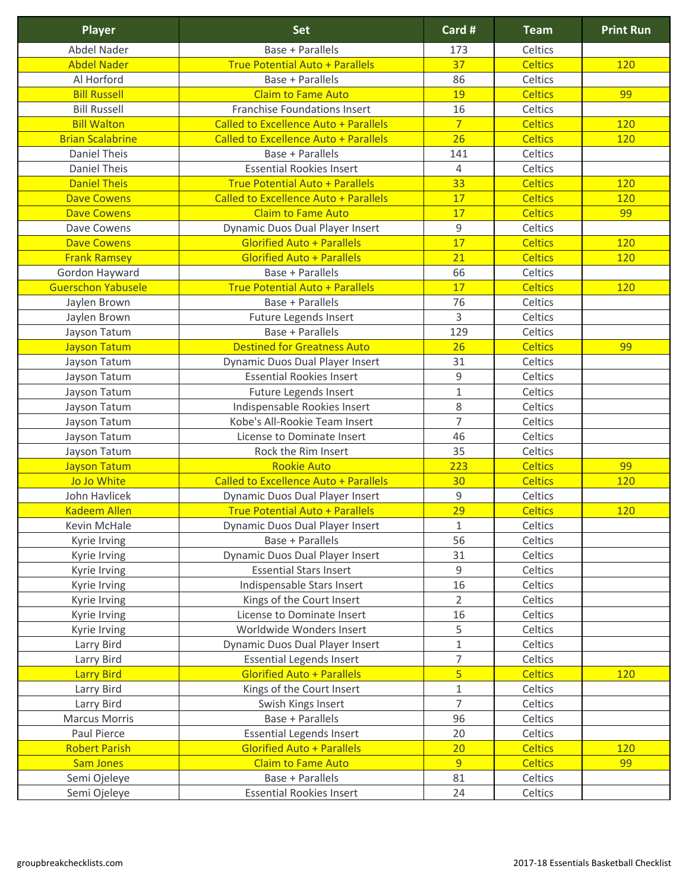| <b>Player</b>             | <b>Set</b>                                   | Card #         | <b>Team</b>    | <b>Print Run</b> |
|---------------------------|----------------------------------------------|----------------|----------------|------------------|
| <b>Abdel Nader</b>        | <b>Base + Parallels</b>                      | 173            | Celtics        |                  |
| <b>Abdel Nader</b>        | <b>True Potential Auto + Parallels</b>       | 37             | <b>Celtics</b> | 120              |
| Al Horford                | <b>Base + Parallels</b>                      | 86             | Celtics        |                  |
| <b>Bill Russell</b>       | <b>Claim to Fame Auto</b>                    | 19             | <b>Celtics</b> | 99               |
| <b>Bill Russell</b>       | <b>Franchise Foundations Insert</b>          | 16             | Celtics        |                  |
| <b>Bill Walton</b>        | <b>Called to Excellence Auto + Parallels</b> | $\overline{7}$ | <b>Celtics</b> | <b>120</b>       |
| <b>Brian Scalabrine</b>   | <b>Called to Excellence Auto + Parallels</b> | 26             | <b>Celtics</b> | 120              |
| <b>Daniel Theis</b>       | <b>Base + Parallels</b>                      | 141            | Celtics        |                  |
| <b>Daniel Theis</b>       | <b>Essential Rookies Insert</b>              | $\overline{4}$ | <b>Celtics</b> |                  |
| <b>Daniel Theis</b>       | <b>True Potential Auto + Parallels</b>       | 33             | <b>Celtics</b> | 120              |
| <b>Dave Cowens</b>        | <b>Called to Excellence Auto + Parallels</b> | 17             | <b>Celtics</b> | 120              |
| <b>Dave Cowens</b>        | <b>Claim to Fame Auto</b>                    | 17             | <b>Celtics</b> | 99               |
| <b>Dave Cowens</b>        | Dynamic Duos Dual Player Insert              | 9              | Celtics        |                  |
| <b>Dave Cowens</b>        | <b>Glorified Auto + Parallels</b>            | 17             | <b>Celtics</b> | 120              |
| <b>Frank Ramsey</b>       | <b>Glorified Auto + Parallels</b>            | 21             | <b>Celtics</b> | 120              |
| Gordon Hayward            | <b>Base + Parallels</b>                      | 66             | Celtics        |                  |
| <b>Guerschon Yabusele</b> | <b>True Potential Auto + Parallels</b>       | 17             | <b>Celtics</b> | 120              |
| Jaylen Brown              | <b>Base + Parallels</b>                      | 76             | Celtics        |                  |
| Jaylen Brown              | Future Legends Insert                        | $\overline{3}$ | Celtics        |                  |
| Jayson Tatum              | <b>Base + Parallels</b>                      | 129            | Celtics        |                  |
| <b>Jayson Tatum</b>       | <b>Destined for Greatness Auto</b>           | 26             | <b>Celtics</b> | 99               |
| Jayson Tatum              | Dynamic Duos Dual Player Insert              | 31             | Celtics        |                  |
| Jayson Tatum              | <b>Essential Rookies Insert</b>              | $\mathsf 9$    | Celtics        |                  |
| Jayson Tatum              | <b>Future Legends Insert</b>                 | $\mathbf{1}$   | Celtics        |                  |
| Jayson Tatum              | Indispensable Rookies Insert                 | 8              | Celtics        |                  |
| <b>Jayson Tatum</b>       | Kobe's All-Rookie Team Insert                | $\overline{7}$ | Celtics        |                  |
| Jayson Tatum              | License to Dominate Insert                   | 46             | Celtics        |                  |
| Jayson Tatum              | Rock the Rim Insert                          | 35             | <b>Celtics</b> |                  |
| <b>Jayson Tatum</b>       | <b>Rookie Auto</b>                           | 223            | <b>Celtics</b> | 99               |
| Jo Jo White               | <b>Called to Excellence Auto + Parallels</b> | 30             | <b>Celtics</b> | 120              |
| John Havlicek             | Dynamic Duos Dual Player Insert              | 9              | Celtics        |                  |
| <b>Kadeem Allen</b>       | <b>True Potential Auto + Parallels</b>       | 29             | <b>Celtics</b> | 120              |
| <b>Kevin McHale</b>       | <b>Dynamic Duos Dual Player Insert</b>       | $\mathbf{1}$   | Celtics        |                  |
| Kyrie Irving              | <b>Base + Parallels</b>                      | 56             | Celtics        |                  |
| Kyrie Irving              | Dynamic Duos Dual Player Insert              | 31             | Celtics        |                  |
| Kyrie Irving              | <b>Essential Stars Insert</b>                | $\mathsf 9$    | <b>Celtics</b> |                  |
| Kyrie Irving              | Indispensable Stars Insert                   | 16             | Celtics        |                  |
| Kyrie Irving              | Kings of the Court Insert                    | $\overline{2}$ | Celtics        |                  |
| Kyrie Irving              | License to Dominate Insert                   | 16             | Celtics        |                  |
| Kyrie Irving              | Worldwide Wonders Insert                     | 5              | <b>Celtics</b> |                  |
| Larry Bird                | <b>Dynamic Duos Dual Player Insert</b>       | $\mathbf{1}$   | <b>Celtics</b> |                  |
| Larry Bird                | <b>Essential Legends Insert</b>              | $\overline{7}$ | Celtics        |                  |
| <b>Larry Bird</b>         | <b>Glorified Auto + Parallels</b>            | $\overline{5}$ | <b>Celtics</b> | 120              |
| Larry Bird                | Kings of the Court Insert                    | $1\,$          | Celtics        |                  |
| Larry Bird                | Swish Kings Insert                           | $\overline{7}$ | Celtics        |                  |
| <b>Marcus Morris</b>      | <b>Base + Parallels</b>                      | 96             | Celtics        |                  |
| Paul Pierce               | <b>Essential Legends Insert</b>              | 20             | Celtics        |                  |
| <b>Robert Parish</b>      | <b>Glorified Auto + Parallels</b>            | 20             | <b>Celtics</b> | 120              |
| <b>Sam Jones</b>          | <b>Claim to Fame Auto</b>                    | 9              | <b>Celtics</b> | 99               |
| Semi Ojeleye              | <b>Base + Parallels</b>                      | 81             | Celtics        |                  |
| Semi Ojeleye              | <b>Essential Rookies Insert</b>              | 24             | Celtics        |                  |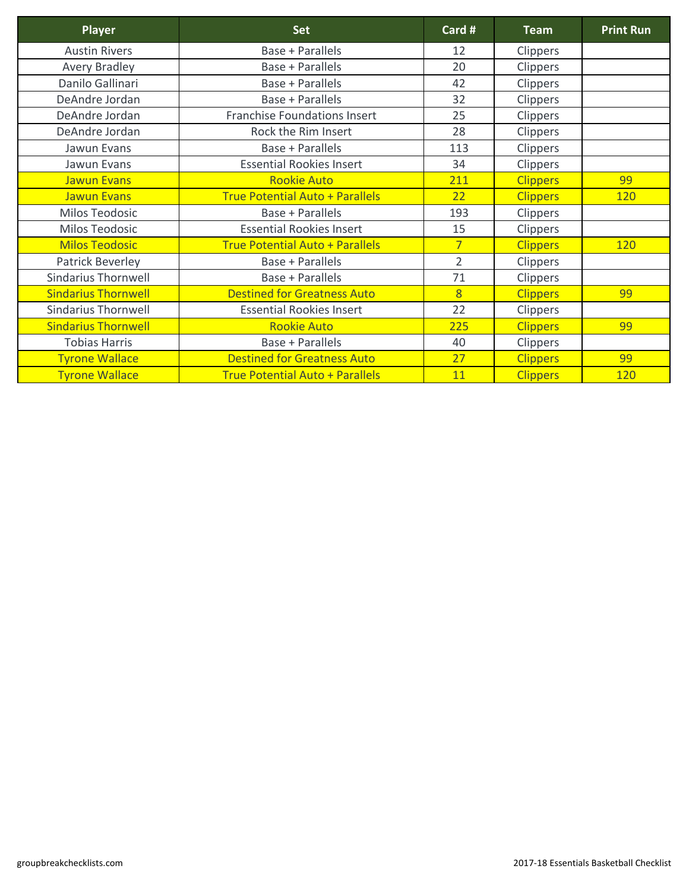| <b>Player</b>              | <b>Set</b>                             | Card #         | <b>Team</b>     | <b>Print Run</b> |
|----------------------------|----------------------------------------|----------------|-----------------|------------------|
| <b>Austin Rivers</b>       | <b>Base + Parallels</b>                | 12             | Clippers        |                  |
| <b>Avery Bradley</b>       | <b>Base + Parallels</b>                | 20             | Clippers        |                  |
| Danilo Gallinari           | <b>Base + Parallels</b>                | 42             | Clippers        |                  |
| DeAndre Jordan             | <b>Base + Parallels</b>                | 32             | Clippers        |                  |
| DeAndre Jordan             | <b>Franchise Foundations Insert</b>    | 25             | <b>Clippers</b> |                  |
| DeAndre Jordan             | Rock the Rim Insert                    | 28             | <b>Clippers</b> |                  |
| Jawun Evans                | <b>Base + Parallels</b>                | 113            | <b>Clippers</b> |                  |
| Jawun Evans                | <b>Essential Rookies Insert</b>        | 34             | <b>Clippers</b> |                  |
| <b>Jawun Evans</b>         | <b>Rookie Auto</b>                     | 211            | <b>Clippers</b> | 99               |
| <b>Jawun Evans</b>         | <b>True Potential Auto + Parallels</b> | 22             | <b>Clippers</b> | 120              |
| <b>Milos Teodosic</b>      | <b>Base + Parallels</b>                | 193            | <b>Clippers</b> |                  |
| <b>Milos Teodosic</b>      | <b>Essential Rookies Insert</b>        | 15             | <b>Clippers</b> |                  |
| <b>Milos Teodosic</b>      | <b>True Potential Auto + Parallels</b> | $\overline{7}$ | <b>Clippers</b> | 120              |
| <b>Patrick Beverley</b>    | <b>Base + Parallels</b>                | $\overline{2}$ | Clippers        |                  |
| <b>Sindarius Thornwell</b> | <b>Base + Parallels</b>                | 71             | <b>Clippers</b> |                  |
| <b>Sindarius Thornwell</b> | <b>Destined for Greatness Auto</b>     | $\overline{8}$ | <b>Clippers</b> | 99               |
| <b>Sindarius Thornwell</b> | <b>Essential Rookies Insert</b>        | 22             | Clippers        |                  |
| <b>Sindarius Thornwell</b> | <b>Rookie Auto</b>                     | 225            | <b>Clippers</b> | 99               |
| <b>Tobias Harris</b>       | <b>Base + Parallels</b>                | 40             | <b>Clippers</b> |                  |
| <b>Tyrone Wallace</b>      | <b>Destined for Greatness Auto</b>     | 27             | <b>Clippers</b> | 99               |
| <b>Tyrone Wallace</b>      | <b>True Potential Auto + Parallels</b> | 11             | <b>Clippers</b> | 120              |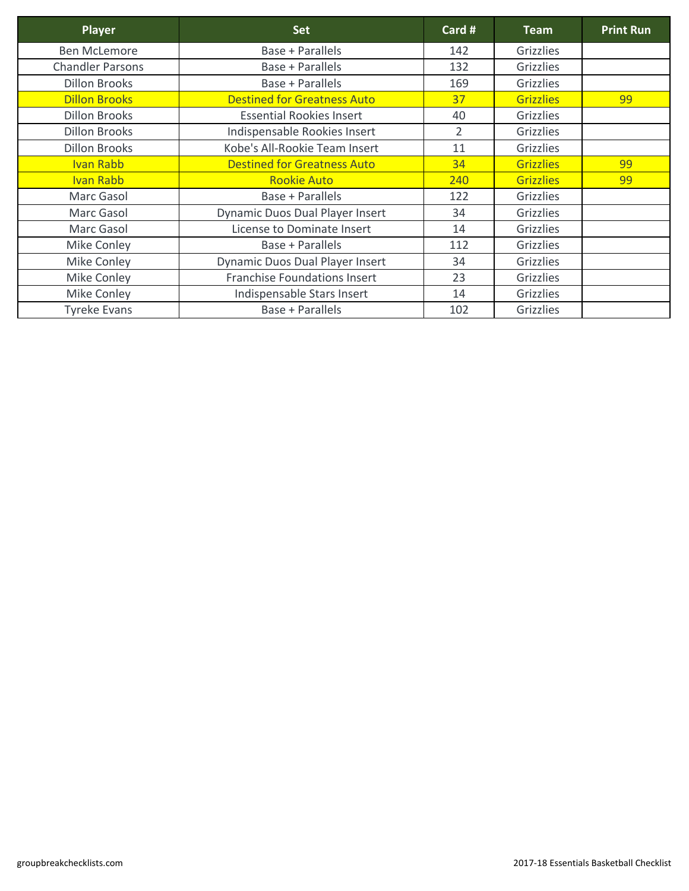| <b>Player</b>           | <b>Set</b>                             | Card #         | <b>Team</b>      | <b>Print Run</b> |
|-------------------------|----------------------------------------|----------------|------------------|------------------|
| <b>Ben McLemore</b>     | <b>Base + Parallels</b>                | 142            | <b>Grizzlies</b> |                  |
| <b>Chandler Parsons</b> | <b>Base + Parallels</b>                | 132            | Grizzlies        |                  |
| <b>Dillon Brooks</b>    | Base + Parallels                       | 169            | Grizzlies        |                  |
| <b>Dillon Brooks</b>    | <b>Destined for Greatness Auto</b>     | 37             | <b>Grizzlies</b> | 99               |
| <b>Dillon Brooks</b>    | <b>Essential Rookies Insert</b>        | 40             | Grizzlies        |                  |
| <b>Dillon Brooks</b>    | Indispensable Rookies Insert           | $\overline{2}$ | Grizzlies        |                  |
| <b>Dillon Brooks</b>    | Kobe's All-Rookie Team Insert          | 11             | Grizzlies        |                  |
| <b>Ivan Rabb</b>        | <b>Destined for Greatness Auto</b>     | 34             | <b>Grizzlies</b> | 99               |
| <b>Ivan Rabb</b>        | <b>Rookie Auto</b>                     | 240            | <b>Grizzlies</b> | 99               |
| Marc Gasol              | <b>Base + Parallels</b>                | 122            | Grizzlies        |                  |
| Marc Gasol              | <b>Dynamic Duos Dual Player Insert</b> | 34             | Grizzlies        |                  |
| Marc Gasol              | License to Dominate Insert             | 14             | Grizzlies        |                  |
| <b>Mike Conley</b>      | <b>Base + Parallels</b>                | 112            | <b>Grizzlies</b> |                  |
| <b>Mike Conley</b>      | <b>Dynamic Duos Dual Player Insert</b> | 34             | Grizzlies        |                  |
| <b>Mike Conley</b>      | <b>Franchise Foundations Insert</b>    | 23             | Grizzlies        |                  |
| <b>Mike Conley</b>      | Indispensable Stars Insert             | 14             | Grizzlies        |                  |
| <b>Tyreke Evans</b>     | <b>Base + Parallels</b>                | 102            | Grizzlies        |                  |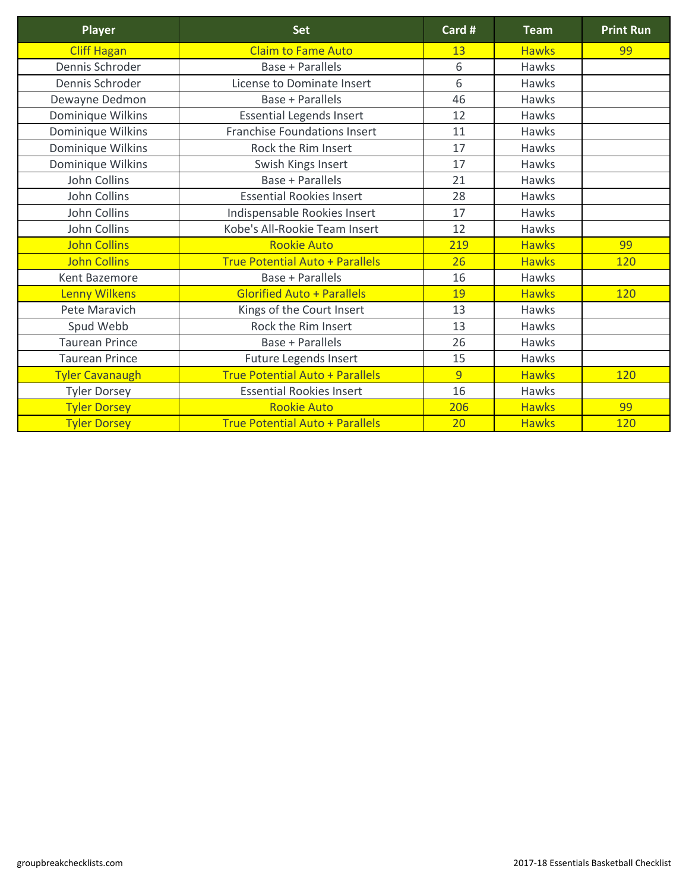| <b>Player</b>          | <b>Set</b>                             | Card # | <b>Team</b>  | <b>Print Run</b> |
|------------------------|----------------------------------------|--------|--------------|------------------|
| <b>Cliff Hagan</b>     | <b>Claim to Fame Auto</b>              | 13     | <b>Hawks</b> | 99               |
| Dennis Schroder        | <b>Base + Parallels</b>                | 6      | <b>Hawks</b> |                  |
| Dennis Schroder        | <b>License to Dominate Insert</b>      | 6      | <b>Hawks</b> |                  |
| Dewayne Dedmon         | <b>Base + Parallels</b>                | 46     | <b>Hawks</b> |                  |
| Dominique Wilkins      | <b>Essential Legends Insert</b>        | 12     | <b>Hawks</b> |                  |
| Dominique Wilkins      | <b>Franchise Foundations Insert</b>    | 11     | <b>Hawks</b> |                  |
| Dominique Wilkins      | Rock the Rim Insert                    | 17     | <b>Hawks</b> |                  |
| Dominique Wilkins      | Swish Kings Insert                     | 17     | <b>Hawks</b> |                  |
| John Collins           | <b>Base + Parallels</b>                | 21     | <b>Hawks</b> |                  |
| <b>John Collins</b>    | <b>Essential Rookies Insert</b>        | 28     | <b>Hawks</b> |                  |
| John Collins           | Indispensable Rookies Insert           | 17     | <b>Hawks</b> |                  |
| <b>John Collins</b>    | Kobe's All-Rookie Team Insert          | 12     | <b>Hawks</b> |                  |
| <b>John Collins</b>    | <b>Rookie Auto</b>                     | 219    | <b>Hawks</b> | 99               |
| <b>John Collins</b>    | <b>True Potential Auto + Parallels</b> | 26     | <b>Hawks</b> | 120              |
| <b>Kent Bazemore</b>   | <b>Base + Parallels</b>                | 16     | <b>Hawks</b> |                  |
| <b>Lenny Wilkens</b>   | <b>Glorified Auto + Parallels</b>      | 19     | <b>Hawks</b> | 120              |
| <b>Pete Maravich</b>   | Kings of the Court Insert              | 13     | <b>Hawks</b> |                  |
| Spud Webb              | Rock the Rim Insert                    | 13     | <b>Hawks</b> |                  |
| <b>Taurean Prince</b>  | Base + Parallels                       | 26     | <b>Hawks</b> |                  |
| <b>Taurean Prince</b>  | <b>Future Legends Insert</b>           | 15     | <b>Hawks</b> |                  |
| <b>Tyler Cavanaugh</b> | <b>True Potential Auto + Parallels</b> | 9      | <b>Hawks</b> | 120              |
| <b>Tyler Dorsey</b>    | <b>Essential Rookies Insert</b>        | 16     | <b>Hawks</b> |                  |
| <b>Tyler Dorsey</b>    | <b>Rookie Auto</b>                     | 206    | <b>Hawks</b> | 99               |
| <b>Tyler Dorsey</b>    | <b>True Potential Auto + Parallels</b> | 20     | <b>Hawks</b> | 120              |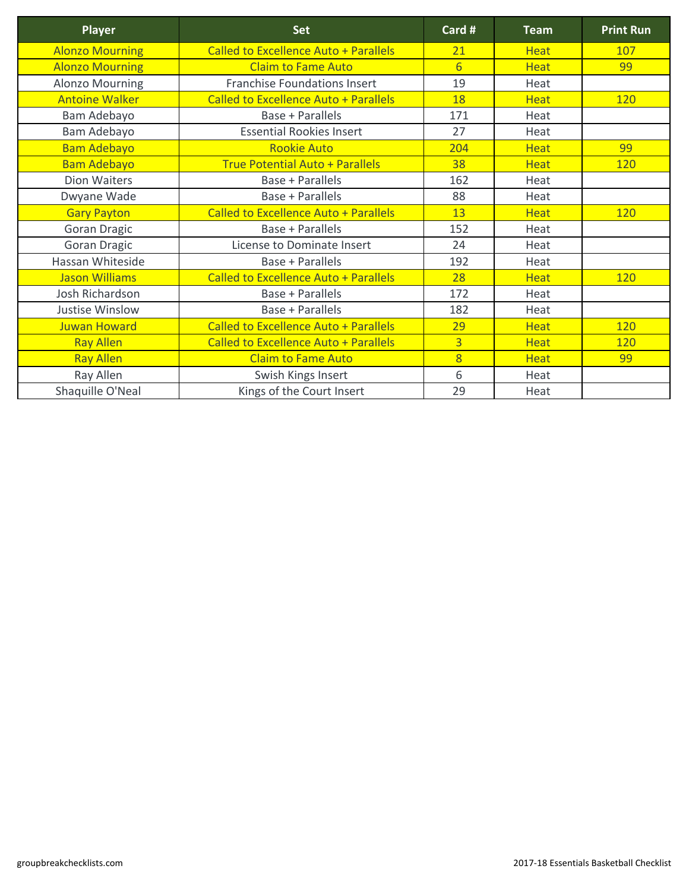| <b>Player</b>          | <b>Set</b>                                   | Card #          | <b>Team</b> | <b>Print Run</b> |
|------------------------|----------------------------------------------|-----------------|-------------|------------------|
| <b>Alonzo Mourning</b> | <b>Called to Excellence Auto + Parallels</b> | 21              | <b>Heat</b> | 107              |
| <b>Alonzo Mourning</b> | <b>Claim to Fame Auto</b>                    | $6 \overline{}$ | <b>Heat</b> | 99               |
| <b>Alonzo Mourning</b> | <b>Franchise Foundations Insert</b>          | 19              | Heat        |                  |
| <b>Antoine Walker</b>  | <b>Called to Excellence Auto + Parallels</b> | 18              | <b>Heat</b> | <b>120</b>       |
| Bam Adebayo            | <b>Base + Parallels</b>                      | 171             | Heat        |                  |
| <b>Bam Adebayo</b>     | <b>Essential Rookies Insert</b>              | 27              | Heat        |                  |
| <b>Bam Adebayo</b>     | <b>Rookie Auto</b>                           | 204             | <b>Heat</b> | 99               |
| <b>Bam Adebayo</b>     | <b>True Potential Auto + Parallels</b>       | 38              | <b>Heat</b> | <b>120</b>       |
| <b>Dion Waiters</b>    | <b>Base + Parallels</b>                      | 162             | Heat        |                  |
| Dwyane Wade            | <b>Base + Parallels</b>                      | 88              | Heat        |                  |
| <b>Gary Payton</b>     | Called to Excellence Auto + Parallels        | 13              | <b>Heat</b> | <b>120</b>       |
| <b>Goran Dragic</b>    | <b>Base + Parallels</b>                      | 152             | Heat        |                  |
| <b>Goran Dragic</b>    | License to Dominate Insert                   | 24              | Heat        |                  |
| Hassan Whiteside       | <b>Base + Parallels</b>                      | 192             | Heat        |                  |
| <b>Jason Williams</b>  | <b>Called to Excellence Auto + Parallels</b> | 28              | <b>Heat</b> | <b>120</b>       |
| Josh Richardson        | <b>Base + Parallels</b>                      | 172             | Heat        |                  |
| <b>Justise Winslow</b> | <b>Base + Parallels</b>                      | 182             | Heat        |                  |
| <b>Juwan Howard</b>    | <b>Called to Excellence Auto + Parallels</b> | 29              | <b>Heat</b> | 120              |
| <b>Ray Allen</b>       | <b>Called to Excellence Auto + Parallels</b> | $\overline{3}$  | <b>Heat</b> | <b>120</b>       |
| <b>Ray Allen</b>       | <b>Claim to Fame Auto</b>                    | $\overline{8}$  | <b>Heat</b> | 99               |
| Ray Allen              | Swish Kings Insert                           | 6               | Heat        |                  |
| Shaquille O'Neal       | Kings of the Court Insert                    | 29              | Heat        |                  |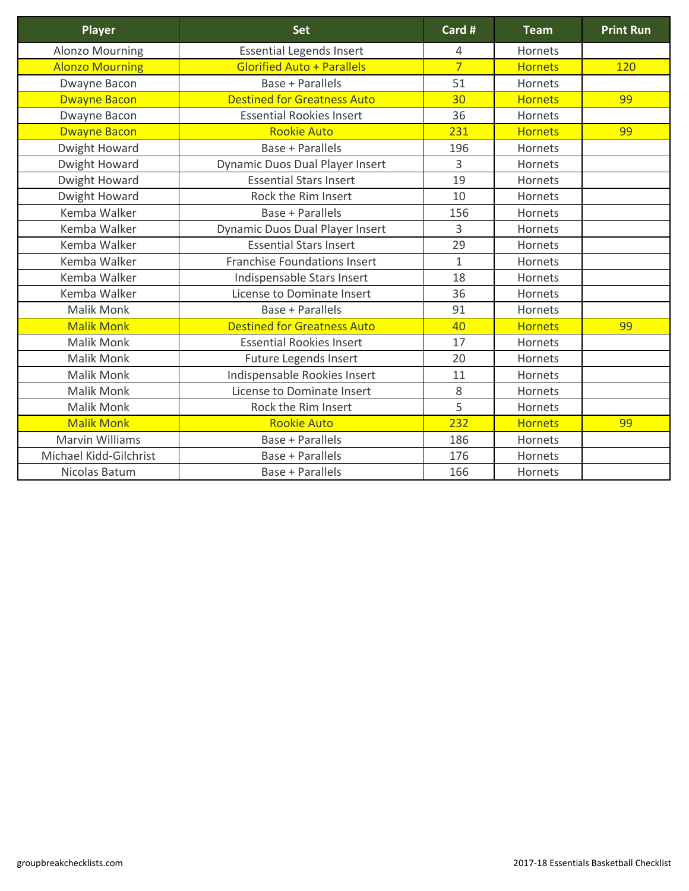| <b>Player</b>          | <b>Set</b>                             | Card #         | <b>Team</b>    | <b>Print Run</b> |
|------------------------|----------------------------------------|----------------|----------------|------------------|
| <b>Alonzo Mourning</b> | <b>Essential Legends Insert</b>        | 4              | <b>Hornets</b> |                  |
| <b>Alonzo Mourning</b> | <b>Glorified Auto + Parallels</b>      | $\overline{7}$ | <b>Hornets</b> | 120              |
| Dwayne Bacon           | <b>Base + Parallels</b>                | 51             | Hornets        |                  |
| <b>Dwayne Bacon</b>    | <b>Destined for Greatness Auto</b>     | 30             | <b>Hornets</b> | 99               |
| Dwayne Bacon           | <b>Essential Rookies Insert</b>        | 36             | Hornets        |                  |
| <b>Dwayne Bacon</b>    | <b>Rookie Auto</b>                     | 231            | <b>Hornets</b> | 99               |
| <b>Dwight Howard</b>   | <b>Base + Parallels</b>                | 196            | <b>Hornets</b> |                  |
| <b>Dwight Howard</b>   | <b>Dynamic Duos Dual Player Insert</b> | $\overline{3}$ | <b>Hornets</b> |                  |
| <b>Dwight Howard</b>   | <b>Essential Stars Insert</b>          | 19             | <b>Hornets</b> |                  |
| <b>Dwight Howard</b>   | Rock the Rim Insert                    | 10             | Hornets        |                  |
| Kemba Walker           | <b>Base + Parallels</b>                | 156            | <b>Hornets</b> |                  |
| Kemba Walker           | <b>Dynamic Duos Dual Player Insert</b> | 3              | Hornets        |                  |
| Kemba Walker           | <b>Essential Stars Insert</b>          | 29             | Hornets        |                  |
| Kemba Walker           | <b>Franchise Foundations Insert</b>    | $\mathbf{1}$   | <b>Hornets</b> |                  |
| Kemba Walker           | Indispensable Stars Insert             | 18             | Hornets        |                  |
| Kemba Walker           | License to Dominate Insert             | 36             | <b>Hornets</b> |                  |
| <b>Malik Monk</b>      | <b>Base + Parallels</b>                | 91             | Hornets        |                  |
| <b>Malik Monk</b>      | <b>Destined for Greatness Auto</b>     | 40             | <b>Hornets</b> | 99               |
| <b>Malik Monk</b>      | <b>Essential Rookies Insert</b>        | 17             | <b>Hornets</b> |                  |
| <b>Malik Monk</b>      | <b>Future Legends Insert</b>           | 20             | Hornets        |                  |
| <b>Malik Monk</b>      | Indispensable Rookies Insert           | 11             | <b>Hornets</b> |                  |
| <b>Malik Monk</b>      | <b>License to Dominate Insert</b>      | 8              | Hornets        |                  |
| <b>Malik Monk</b>      | Rock the Rim Insert                    | 5              | Hornets        |                  |
| <b>Malik Monk</b>      | <b>Rookie Auto</b>                     | 232            | <b>Hornets</b> | 99               |
| <b>Marvin Williams</b> | <b>Base + Parallels</b>                | 186            | Hornets        |                  |
| Michael Kidd-Gilchrist | <b>Base + Parallels</b>                | 176            | <b>Hornets</b> |                  |
| Nicolas Batum          | <b>Base + Parallels</b>                | 166            | <b>Hornets</b> |                  |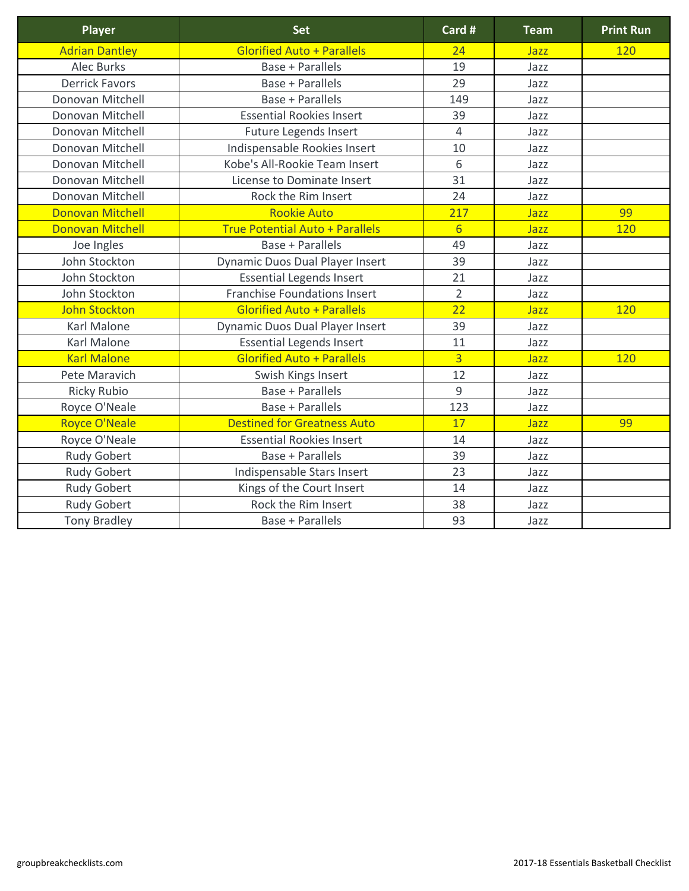| <b>Player</b>           | <b>Set</b>                             | Card #          | <b>Team</b> | <b>Print Run</b> |
|-------------------------|----------------------------------------|-----------------|-------------|------------------|
| <b>Adrian Dantley</b>   | <b>Glorified Auto + Parallels</b>      | 24              | Jazz        | <b>120</b>       |
| <b>Alec Burks</b>       | <b>Base + Parallels</b>                | 19              | Jazz        |                  |
| <b>Derrick Favors</b>   | <b>Base + Parallels</b>                | 29              | Jazz        |                  |
| Donovan Mitchell        | <b>Base + Parallels</b>                | 149             | Jazz        |                  |
| Donovan Mitchell        | <b>Essential Rookies Insert</b>        | 39              | Jazz        |                  |
| Donovan Mitchell        | <b>Future Legends Insert</b>           | $\overline{4}$  | Jazz        |                  |
| Donovan Mitchell        | Indispensable Rookies Insert           | 10              | Jazz        |                  |
| Donovan Mitchell        | Kobe's All-Rookie Team Insert          | 6               | Jazz        |                  |
| Donovan Mitchell        | License to Dominate Insert             | 31              | Jazz        |                  |
| Donovan Mitchell        | Rock the Rim Insert                    | 24              | Jazz        |                  |
| <b>Donovan Mitchell</b> | <b>Rookie Auto</b>                     | 217             | Jazz        | 99               |
| <b>Donovan Mitchell</b> | <b>True Potential Auto + Parallels</b> | $6 \overline{}$ | Jazz        | 120              |
| Joe Ingles              | <b>Base + Parallels</b>                | 49              | Jazz        |                  |
| John Stockton           | <b>Dynamic Duos Dual Player Insert</b> | 39              | Jazz        |                  |
| John Stockton           | <b>Essential Legends Insert</b>        | 21              | Jazz        |                  |
| John Stockton           | <b>Franchise Foundations Insert</b>    | $\overline{2}$  | Jazz        |                  |
| <b>John Stockton</b>    | <b>Glorified Auto + Parallels</b>      | 22              | Jazz        | 120              |
| <b>Karl Malone</b>      | <b>Dynamic Duos Dual Player Insert</b> | 39              | Jazz        |                  |
| <b>Karl Malone</b>      | <b>Essential Legends Insert</b>        | 11              | Jazz        |                  |
| <b>Karl Malone</b>      | <b>Glorified Auto + Parallels</b>      | $\overline{3}$  | Jazz        | 120              |
| Pete Maravich           | Swish Kings Insert                     | 12              | Jazz        |                  |
| <b>Ricky Rubio</b>      | <b>Base + Parallels</b>                | 9               | Jazz        |                  |
| Royce O'Neale           | <b>Base + Parallels</b>                | 123             | Jazz        |                  |
| <b>Royce O'Neale</b>    | <b>Destined for Greatness Auto</b>     | 17              | Jazz        | 99               |
| Royce O'Neale           | <b>Essential Rookies Insert</b>        | 14              | Jazz        |                  |
| <b>Rudy Gobert</b>      | <b>Base + Parallels</b>                | 39              | Jazz        |                  |
| <b>Rudy Gobert</b>      | Indispensable Stars Insert             | 23              | Jazz        |                  |
| <b>Rudy Gobert</b>      | Kings of the Court Insert              | 14              | Jazz        |                  |
| <b>Rudy Gobert</b>      | Rock the Rim Insert                    | 38              | Jazz        |                  |
| <b>Tony Bradley</b>     | <b>Base + Parallels</b>                | 93              | Jazz        |                  |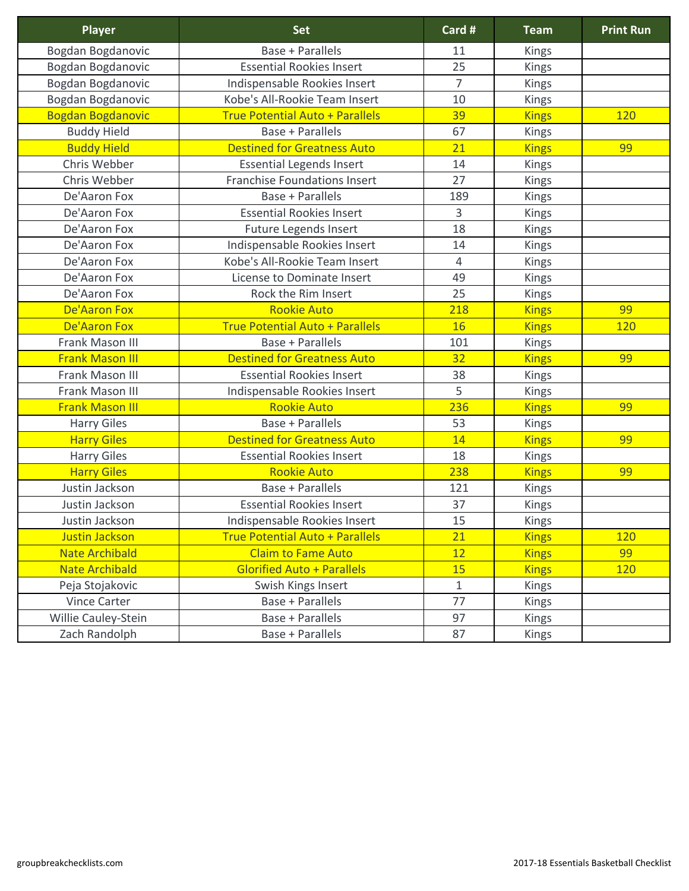| <b>Player</b>              | <b>Set</b>                             | Card #         | <b>Team</b>  | <b>Print Run</b> |
|----------------------------|----------------------------------------|----------------|--------------|------------------|
| Bogdan Bogdanovic          | <b>Base + Parallels</b>                | 11             | <b>Kings</b> |                  |
| Bogdan Bogdanovic          | <b>Essential Rookies Insert</b>        | 25             | <b>Kings</b> |                  |
| Bogdan Bogdanovic          | Indispensable Rookies Insert           | $\overline{7}$ | <b>Kings</b> |                  |
| Bogdan Bogdanovic          | Kobe's All-Rookie Team Insert          | 10             | <b>Kings</b> |                  |
| <b>Bogdan Bogdanovic</b>   | <b>True Potential Auto + Parallels</b> | 39             | <b>Kings</b> | 120              |
| <b>Buddy Hield</b>         | Base + Parallels                       | 67             | <b>Kings</b> |                  |
| <b>Buddy Hield</b>         | <b>Destined for Greatness Auto</b>     | 21             | <b>Kings</b> | 99               |
| Chris Webber               | <b>Essential Legends Insert</b>        | 14             | <b>Kings</b> |                  |
| Chris Webber               | <b>Franchise Foundations Insert</b>    | 27             | <b>Kings</b> |                  |
| De'Aaron Fox               | <b>Base + Parallels</b>                | 189            | <b>Kings</b> |                  |
| De'Aaron Fox               | <b>Essential Rookies Insert</b>        | 3              | <b>Kings</b> |                  |
| De'Aaron Fox               | <b>Future Legends Insert</b>           | 18             | <b>Kings</b> |                  |
| De'Aaron Fox               | Indispensable Rookies Insert           | 14             | <b>Kings</b> |                  |
| De'Aaron Fox               | Kobe's All-Rookie Team Insert          | $\overline{4}$ | Kings        |                  |
| De'Aaron Fox               | <b>License to Dominate Insert</b>      | 49             | <b>Kings</b> |                  |
| De'Aaron Fox               | Rock the Rim Insert                    | 25             | <b>Kings</b> |                  |
| <b>De'Aaron Fox</b>        | <b>Rookie Auto</b>                     | 218            | <b>Kings</b> | 99               |
| <b>De'Aaron Fox</b>        | <b>True Potential Auto + Parallels</b> | <b>16</b>      | <b>Kings</b> | 120              |
| <b>Frank Mason III</b>     | <b>Base + Parallels</b>                | 101            | <b>Kings</b> |                  |
| <b>Frank Mason III</b>     | <b>Destined for Greatness Auto</b>     | 32             | <b>Kings</b> | 99               |
| Frank Mason III            | <b>Essential Rookies Insert</b>        | 38             | <b>Kings</b> |                  |
| Frank Mason III            | Indispensable Rookies Insert           | 5              | <b>Kings</b> |                  |
| <b>Frank Mason III</b>     | <b>Rookie Auto</b>                     | 236            | <b>Kings</b> | 99               |
| <b>Harry Giles</b>         | <b>Base + Parallels</b>                | 53             | <b>Kings</b> |                  |
| <b>Harry Giles</b>         | <b>Destined for Greatness Auto</b>     | 14             | <b>Kings</b> | 99               |
| <b>Harry Giles</b>         | <b>Essential Rookies Insert</b>        | 18             | <b>Kings</b> |                  |
| <b>Harry Giles</b>         | <b>Rookie Auto</b>                     | 238            | <b>Kings</b> | 99               |
| Justin Jackson             | <b>Base + Parallels</b>                | 121            | <b>Kings</b> |                  |
| Justin Jackson             | <b>Essential Rookies Insert</b>        | 37             | <b>Kings</b> |                  |
| Justin Jackson             | Indispensable Rookies Insert           | 15             | <b>Kings</b> |                  |
| <b>Justin Jackson</b>      | <b>True Potential Auto + Parallels</b> | 21             | <b>Kings</b> | <b>120</b>       |
| <b>Nate Archibald</b>      | <b>Claim to Fame Auto</b>              | 12             | <b>Kings</b> | 99               |
| <b>Nate Archibald</b>      | <b>Glorified Auto + Parallels</b>      | 15             | <b>Kings</b> | 120              |
| Peja Stojakovic            | Swish Kings Insert                     | $\mathbf{1}$   | <b>Kings</b> |                  |
| <b>Vince Carter</b>        | <b>Base + Parallels</b>                | 77             | <b>Kings</b> |                  |
| <b>Willie Cauley-Stein</b> | Base + Parallels                       | 97             | <b>Kings</b> |                  |
| Zach Randolph              | <b>Base + Parallels</b>                | 87             | Kings        |                  |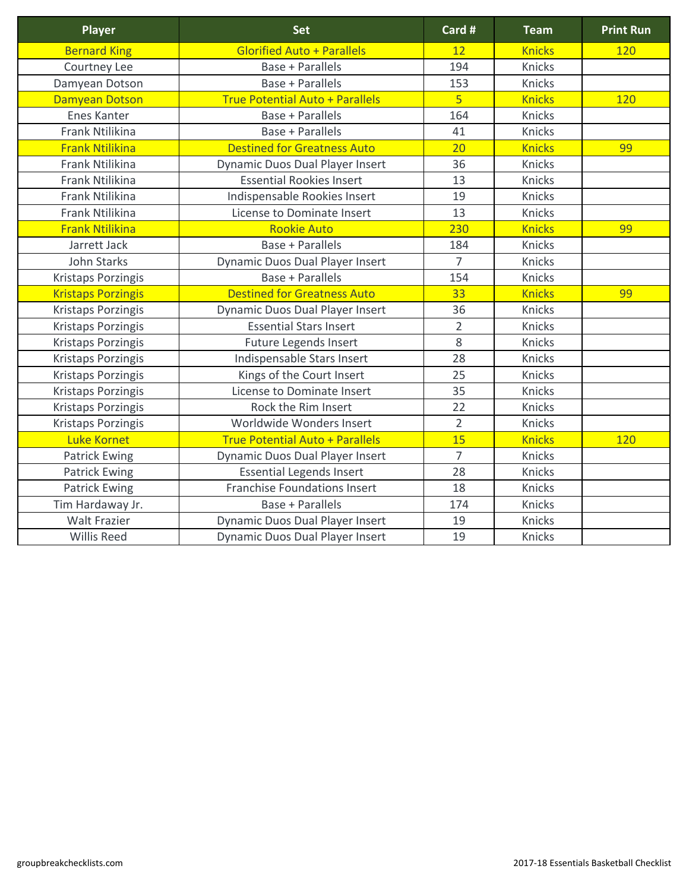| <b>Player</b>             | <b>Set</b>                             | Card #         | <b>Team</b>   | <b>Print Run</b> |
|---------------------------|----------------------------------------|----------------|---------------|------------------|
| <b>Bernard King</b>       | <b>Glorified Auto + Parallels</b>      | 12             | <b>Knicks</b> | <b>120</b>       |
| Courtney Lee              | <b>Base + Parallels</b>                | 194            | <b>Knicks</b> |                  |
| Damyean Dotson            | <b>Base + Parallels</b>                | 153            | <b>Knicks</b> |                  |
| <b>Damyean Dotson</b>     | <b>True Potential Auto + Parallels</b> | 5 <sub>1</sub> | <b>Knicks</b> | <b>120</b>       |
| <b>Enes Kanter</b>        | <b>Base + Parallels</b>                | 164            | <b>Knicks</b> |                  |
| <b>Frank Ntilikina</b>    | <b>Base + Parallels</b>                | 41             | <b>Knicks</b> |                  |
| <b>Frank Ntilikina</b>    | <b>Destined for Greatness Auto</b>     | 20             | <b>Knicks</b> | 99               |
| <b>Frank Ntilikina</b>    | <b>Dynamic Duos Dual Player Insert</b> | 36             | <b>Knicks</b> |                  |
| <b>Frank Ntilikina</b>    | <b>Essential Rookies Insert</b>        | 13             | <b>Knicks</b> |                  |
| <b>Frank Ntilikina</b>    | Indispensable Rookies Insert           | 19             | <b>Knicks</b> |                  |
| Frank Ntilikina           | License to Dominate Insert             | 13             | <b>Knicks</b> |                  |
| <b>Frank Ntilikina</b>    | <b>Rookie Auto</b>                     | 230            | <b>Knicks</b> | 99               |
| Jarrett Jack              | <b>Base + Parallels</b>                | 184            | <b>Knicks</b> |                  |
| <b>John Starks</b>        | <b>Dynamic Duos Dual Player Insert</b> | $\overline{7}$ | <b>Knicks</b> |                  |
| <b>Kristaps Porzingis</b> | <b>Base + Parallels</b>                | 154            | <b>Knicks</b> |                  |
| <b>Kristaps Porzingis</b> | <b>Destined for Greatness Auto</b>     | 33             | <b>Knicks</b> | 99               |
| <b>Kristaps Porzingis</b> | <b>Dynamic Duos Dual Player Insert</b> | 36             | <b>Knicks</b> |                  |
| <b>Kristaps Porzingis</b> | <b>Essential Stars Insert</b>          | $\overline{2}$ | Knicks        |                  |
| <b>Kristaps Porzingis</b> | <b>Future Legends Insert</b>           | 8              | Knicks        |                  |
| <b>Kristaps Porzingis</b> | Indispensable Stars Insert             | 28             | Knicks        |                  |
| <b>Kristaps Porzingis</b> | Kings of the Court Insert              | 25             | Knicks        |                  |
| <b>Kristaps Porzingis</b> | <b>License to Dominate Insert</b>      | 35             | Knicks        |                  |
| <b>Kristaps Porzingis</b> | Rock the Rim Insert                    | 22             | Knicks        |                  |
| <b>Kristaps Porzingis</b> | Worldwide Wonders Insert               | $\overline{2}$ | Knicks        |                  |
| <b>Luke Kornet</b>        | <b>True Potential Auto + Parallels</b> | 15             | <b>Knicks</b> | 120              |
| <b>Patrick Ewing</b>      | <b>Dynamic Duos Dual Player Insert</b> | $\overline{7}$ | <b>Knicks</b> |                  |
| <b>Patrick Ewing</b>      | <b>Essential Legends Insert</b>        | 28             | <b>Knicks</b> |                  |
| <b>Patrick Ewing</b>      | <b>Franchise Foundations Insert</b>    | 18             | <b>Knicks</b> |                  |
| Tim Hardaway Jr.          | <b>Base + Parallels</b>                | 174            | <b>Knicks</b> |                  |
| <b>Walt Frazier</b>       | <b>Dynamic Duos Dual Player Insert</b> | 19             | Knicks        |                  |
| <b>Willis Reed</b>        | <b>Dynamic Duos Dual Player Insert</b> | 19             | Knicks        |                  |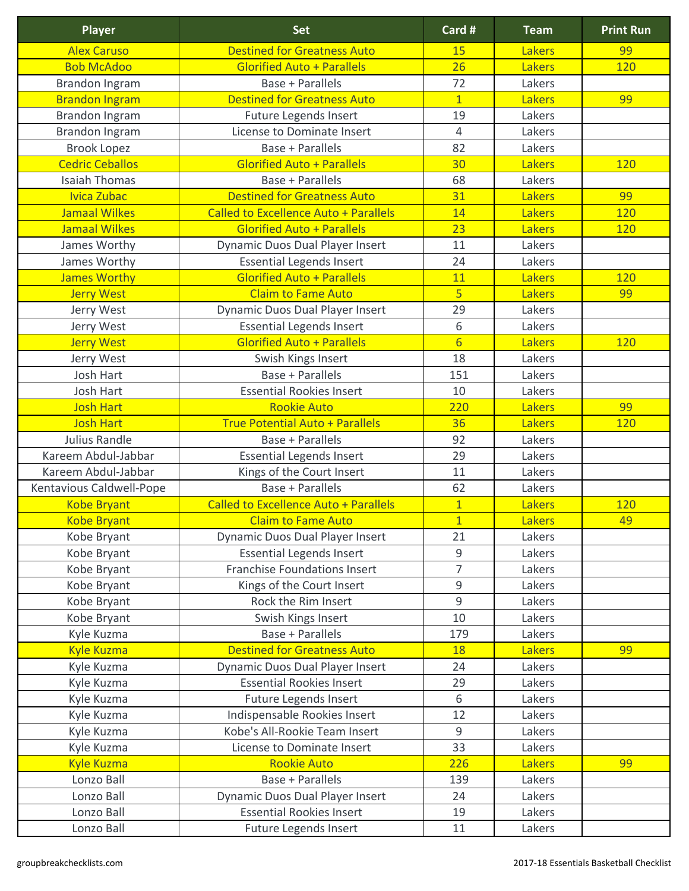| <b>Player</b>            | <b>Set</b>                                   | Card #          | <b>Team</b>   | <b>Print Run</b> |
|--------------------------|----------------------------------------------|-----------------|---------------|------------------|
| <b>Alex Caruso</b>       | <b>Destined for Greatness Auto</b>           | 15              | <b>Lakers</b> | 99               |
| <b>Bob McAdoo</b>        | <b>Glorified Auto + Parallels</b>            | 26              | <b>Lakers</b> | 120              |
| Brandon Ingram           | <b>Base + Parallels</b>                      | 72              | Lakers        |                  |
| <b>Brandon Ingram</b>    | <b>Destined for Greatness Auto</b>           | $\overline{1}$  | <b>Lakers</b> | 99               |
| <b>Brandon Ingram</b>    | <b>Future Legends Insert</b>                 | 19              | Lakers        |                  |
| <b>Brandon Ingram</b>    | License to Dominate Insert                   | $\overline{4}$  | Lakers        |                  |
| <b>Brook Lopez</b>       | <b>Base + Parallels</b>                      | 82              | Lakers        |                  |
| <b>Cedric Ceballos</b>   | <b>Glorified Auto + Parallels</b>            | 30              | <b>Lakers</b> | <b>120</b>       |
| <b>Isaiah Thomas</b>     | <b>Base + Parallels</b>                      | 68              | Lakers        |                  |
| Ivica Zubac              | <b>Destined for Greatness Auto</b>           | 31              | <b>Lakers</b> | 99               |
| <b>Jamaal Wilkes</b>     | <b>Called to Excellence Auto + Parallels</b> | 14              | <b>Lakers</b> | <b>120</b>       |
| <b>Jamaal Wilkes</b>     | <b>Glorified Auto + Parallels</b>            | 23              | <b>Lakers</b> | <b>120</b>       |
| James Worthy             | <b>Dynamic Duos Dual Player Insert</b>       | 11              | Lakers        |                  |
| James Worthy             | <b>Essential Legends Insert</b>              | 24              | Lakers        |                  |
| <b>James Worthy</b>      | <b>Glorified Auto + Parallels</b>            | 11              | <b>Lakers</b> | 120              |
| <b>Jerry West</b>        | <b>Claim to Fame Auto</b>                    | 5 <sup>1</sup>  | <b>Lakers</b> | 99               |
| Jerry West               | <b>Dynamic Duos Dual Player Insert</b>       | 29              | Lakers        |                  |
| Jerry West               | <b>Essential Legends Insert</b>              | 6               | Lakers        |                  |
| <b>Jerry West</b>        | <b>Glorified Auto + Parallels</b>            | $6 \overline{}$ | <b>Lakers</b> | <b>120</b>       |
| Jerry West               | Swish Kings Insert                           | 18              | Lakers        |                  |
| Josh Hart                | <b>Base + Parallels</b>                      | 151             | Lakers        |                  |
| <b>Josh Hart</b>         | <b>Essential Rookies Insert</b>              | 10              | Lakers        |                  |
| <b>Josh Hart</b>         | <b>Rookie Auto</b>                           | 220             | <b>Lakers</b> | 99               |
| <b>Josh Hart</b>         | <b>True Potential Auto + Parallels</b>       | 36              | <b>Lakers</b> | 120              |
| <b>Julius Randle</b>     | <b>Base + Parallels</b>                      | 92              | Lakers        |                  |
| Kareem Abdul-Jabbar      | <b>Essential Legends Insert</b>              | 29              | Lakers        |                  |
| Kareem Abdul-Jabbar      | Kings of the Court Insert                    | 11              | Lakers        |                  |
| Kentavious Caldwell-Pope | <b>Base + Parallels</b>                      | 62              | Lakers        |                  |
| <b>Kobe Bryant</b>       | <b>Called to Excellence Auto + Parallels</b> | $\mathbf{1}$    | <b>Lakers</b> | 120              |
| <b>Kobe Bryant</b>       | <b>Claim to Fame Auto</b>                    | $\overline{1}$  | <b>Lakers</b> | 49               |
| Kobe Bryant              | <b>Dynamic Duos Dual Player Insert</b>       | 21              | Lakers        |                  |
| Kobe Bryant              | <b>Essential Legends Insert</b>              | 9               | Lakers        |                  |
| Kobe Bryant              | <b>Franchise Foundations Insert</b>          | $\overline{7}$  | Lakers        |                  |
| Kobe Bryant              | Kings of the Court Insert                    | 9               | Lakers        |                  |
| Kobe Bryant              | Rock the Rim Insert                          | 9               | Lakers        |                  |
| Kobe Bryant              | Swish Kings Insert                           | 10              | Lakers        |                  |
| Kyle Kuzma               | <b>Base + Parallels</b>                      | 179             | Lakers        |                  |
| <b>Kyle Kuzma</b>        | <b>Destined for Greatness Auto</b>           | 18              | <b>Lakers</b> | 99               |
| Kyle Kuzma               | <b>Dynamic Duos Dual Player Insert</b>       | 24              | Lakers        |                  |
| Kyle Kuzma               | <b>Essential Rookies Insert</b>              | 29              | Lakers        |                  |
| Kyle Kuzma               | <b>Future Legends Insert</b>                 | 6               | Lakers        |                  |
| Kyle Kuzma               | Indispensable Rookies Insert                 | 12              | Lakers        |                  |
| Kyle Kuzma               | Kobe's All-Rookie Team Insert                | 9               | Lakers        |                  |
| Kyle Kuzma               | <b>License to Dominate Insert</b>            | 33              | Lakers        |                  |
| <b>Kyle Kuzma</b>        | <b>Rookie Auto</b>                           | 226             | <b>Lakers</b> | 99               |
| Lonzo Ball               | <b>Base + Parallels</b>                      | 139             | Lakers        |                  |
| Lonzo Ball               | <b>Dynamic Duos Dual Player Insert</b>       | 24              | Lakers        |                  |
| Lonzo Ball               | <b>Essential Rookies Insert</b>              | 19              | Lakers        |                  |
| Lonzo Ball               | <b>Future Legends Insert</b>                 | 11              | Lakers        |                  |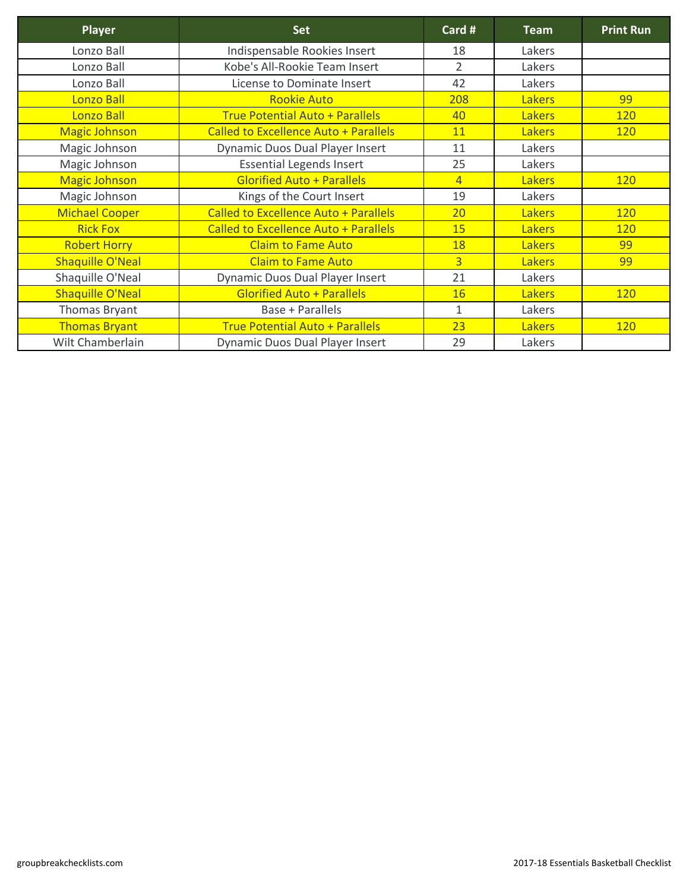| <b>Player</b>           | <b>Set</b>                                   | Card #         | <b>Team</b>   | <b>Print Run</b> |
|-------------------------|----------------------------------------------|----------------|---------------|------------------|
| Lonzo Ball              | Indispensable Rookies Insert                 | 18             | Lakers        |                  |
| Lonzo Ball              | Kobe's All-Rookie Team Insert                | $\overline{2}$ | Lakers        |                  |
| Lonzo Ball              | License to Dominate Insert                   | 42             | Lakers        |                  |
| Lonzo Ball              | <b>Rookie Auto</b>                           | 208            | <b>Lakers</b> | 99               |
| <b>Lonzo Ball</b>       | <b>True Potential Auto + Parallels</b>       | 40             | <b>Lakers</b> | <b>120</b>       |
| <b>Magic Johnson</b>    | <b>Called to Excellence Auto + Parallels</b> | 11             | <b>Lakers</b> | <b>120</b>       |
| Magic Johnson           | <b>Dynamic Duos Dual Player Insert</b>       | 11             | Lakers        |                  |
| Magic Johnson           | <b>Essential Legends Insert</b>              | 25             | Lakers        |                  |
| <b>Magic Johnson</b>    | <b>Glorified Auto + Parallels</b>            | $\overline{4}$ | <b>Lakers</b> | <b>120</b>       |
| Magic Johnson           | Kings of the Court Insert                    | 19             | Lakers        |                  |
| <b>Michael Cooper</b>   | <b>Called to Excellence Auto + Parallels</b> | 20             | <b>Lakers</b> | <b>120</b>       |
| <b>Rick Fox</b>         | <b>Called to Excellence Auto + Parallels</b> | 15             | <b>Lakers</b> | <b>120</b>       |
| <b>Robert Horry</b>     | <b>Claim to Fame Auto</b>                    | 18             | <b>Lakers</b> | 99               |
| <b>Shaquille O'Neal</b> | <b>Claim to Fame Auto</b>                    | $\overline{3}$ | <b>Lakers</b> | 99               |
| Shaquille O'Neal        | <b>Dynamic Duos Dual Player Insert</b>       | 21             | Lakers        |                  |
| <b>Shaquille O'Neal</b> | <b>Glorified Auto + Parallels</b>            | <b>16</b>      | <b>Lakers</b> | <b>120</b>       |
| Thomas Bryant           | <b>Base + Parallels</b>                      | $\mathbf{1}$   | Lakers        |                  |
| <b>Thomas Bryant</b>    | <b>True Potential Auto + Parallels</b>       | 23             | <b>Lakers</b> | <b>120</b>       |
| Wilt Chamberlain        | <b>Dynamic Duos Dual Player Insert</b>       | 29             | Lakers        |                  |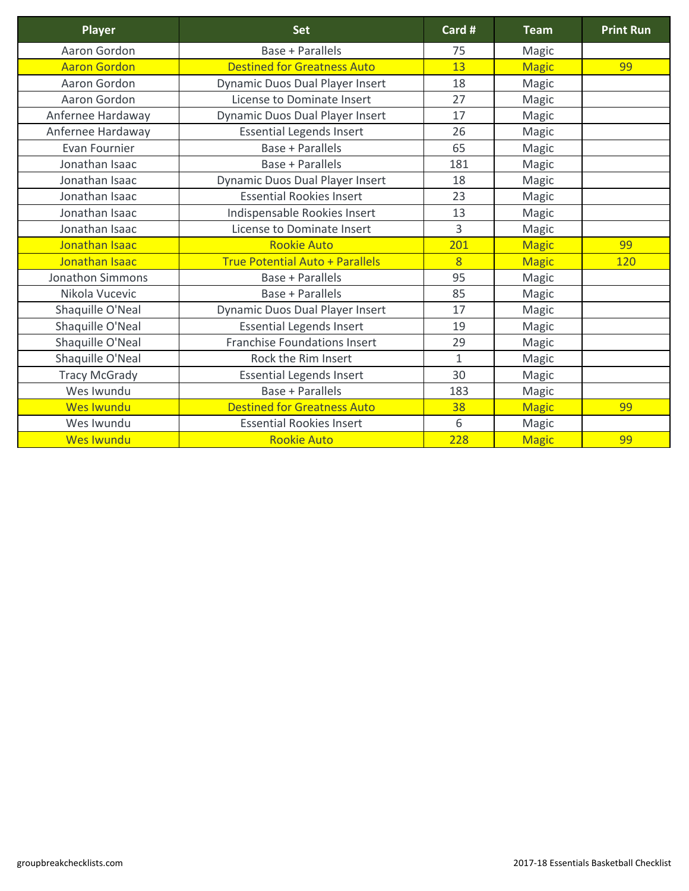| Player                  | <b>Set</b>                             | Card #         | <b>Team</b>  | <b>Print Run</b> |
|-------------------------|----------------------------------------|----------------|--------------|------------------|
| Aaron Gordon            | <b>Base + Parallels</b>                | 75             | <b>Magic</b> |                  |
| <b>Aaron Gordon</b>     | <b>Destined for Greatness Auto</b>     | 13             | <b>Magic</b> | 99               |
| Aaron Gordon            | <b>Dynamic Duos Dual Player Insert</b> | 18             | Magic        |                  |
| Aaron Gordon            | License to Dominate Insert             | 27             | Magic        |                  |
| Anfernee Hardaway       | <b>Dynamic Duos Dual Player Insert</b> | 17             | Magic        |                  |
| Anfernee Hardaway       | <b>Essential Legends Insert</b>        | 26             | Magic        |                  |
| <b>Evan Fournier</b>    | <b>Base + Parallels</b>                | 65             | Magic        |                  |
| Jonathan Isaac          | <b>Base + Parallels</b>                | 181            | Magic        |                  |
| Jonathan Isaac          | Dynamic Duos Dual Player Insert        | 18             | Magic        |                  |
| Jonathan Isaac          | <b>Essential Rookies Insert</b>        | 23             | <b>Magic</b> |                  |
| Jonathan Isaac          | Indispensable Rookies Insert           | 13             | <b>Magic</b> |                  |
| Jonathan Isaac          | <b>License to Dominate Insert</b>      | $\overline{3}$ | Magic        |                  |
| Jonathan Isaac          | <b>Rookie Auto</b>                     | 201            | <b>Magic</b> | 99               |
| Jonathan Isaac          | <b>True Potential Auto + Parallels</b> | 8              | <b>Magic</b> | <b>120</b>       |
| <b>Jonathon Simmons</b> | <b>Base + Parallels</b>                | 95             | Magic        |                  |
| Nikola Vucevic          | <b>Base + Parallels</b>                | 85             | <b>Magic</b> |                  |
| Shaquille O'Neal        | <b>Dynamic Duos Dual Player Insert</b> | 17             | Magic        |                  |
| Shaquille O'Neal        | <b>Essential Legends Insert</b>        | 19             | Magic        |                  |
| Shaquille O'Neal        | <b>Franchise Foundations Insert</b>    | 29             | Magic        |                  |
| Shaquille O'Neal        | Rock the Rim Insert                    | $\mathbf{1}$   | Magic        |                  |
| <b>Tracy McGrady</b>    | <b>Essential Legends Insert</b>        | 30             | <b>Magic</b> |                  |
| Wes Iwundu              | <b>Base + Parallels</b>                | 183            | Magic        |                  |
| <b>Wes Iwundu</b>       | <b>Destined for Greatness Auto</b>     | 38             | <b>Magic</b> | 99               |
| Wes Iwundu              | <b>Essential Rookies Insert</b>        | 6              | Magic        |                  |
| <b>Wes Iwundu</b>       | <b>Rookie Auto</b>                     | 228            | <b>Magic</b> | 99               |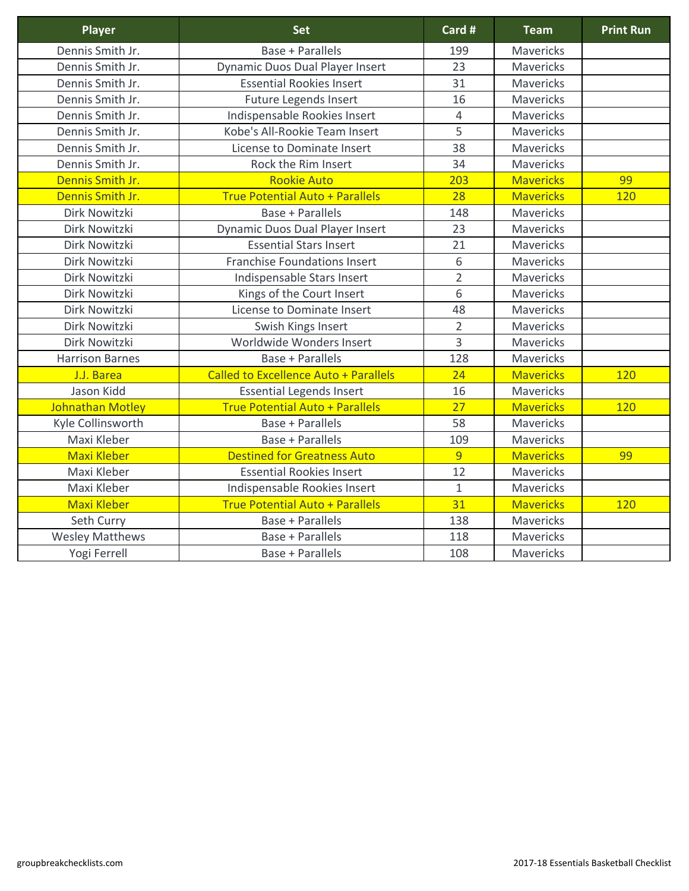| <b>Player</b>           | <b>Set</b>                                   | Card #         | <b>Team</b>      | <b>Print Run</b> |
|-------------------------|----------------------------------------------|----------------|------------------|------------------|
| Dennis Smith Jr.        | <b>Base + Parallels</b>                      | 199            | <b>Mavericks</b> |                  |
| Dennis Smith Jr.        | <b>Dynamic Duos Dual Player Insert</b>       | 23             | Mavericks        |                  |
| Dennis Smith Jr.        | <b>Essential Rookies Insert</b>              | 31             | <b>Mavericks</b> |                  |
| Dennis Smith Jr.        | <b>Future Legends Insert</b>                 | 16             | Mavericks        |                  |
| Dennis Smith Jr.        | Indispensable Rookies Insert                 | 4              | <b>Mavericks</b> |                  |
| Dennis Smith Jr.        | Kobe's All-Rookie Team Insert                | 5              | Mavericks        |                  |
| Dennis Smith Jr.        | License to Dominate Insert                   | 38             | <b>Mavericks</b> |                  |
| Dennis Smith Jr.        | Rock the Rim Insert                          | 34             | Mavericks        |                  |
| Dennis Smith Jr.        | <b>Rookie Auto</b>                           | 203            | <b>Mavericks</b> | 99               |
| Dennis Smith Jr.        | <b>True Potential Auto + Parallels</b>       | 28             | <b>Mavericks</b> | 120              |
| Dirk Nowitzki           | <b>Base + Parallels</b>                      | 148            | <b>Mavericks</b> |                  |
| Dirk Nowitzki           | <b>Dynamic Duos Dual Player Insert</b>       | 23             | Mavericks        |                  |
| Dirk Nowitzki           | <b>Essential Stars Insert</b>                | 21             | <b>Mavericks</b> |                  |
| Dirk Nowitzki           | <b>Franchise Foundations Insert</b>          | 6              | <b>Mavericks</b> |                  |
| Dirk Nowitzki           | Indispensable Stars Insert                   | $\overline{2}$ | <b>Mavericks</b> |                  |
| Dirk Nowitzki           | Kings of the Court Insert                    | 6              | <b>Mavericks</b> |                  |
| Dirk Nowitzki           | License to Dominate Insert                   | 48             | <b>Mavericks</b> |                  |
| Dirk Nowitzki           | Swish Kings Insert                           | $\overline{2}$ | <b>Mavericks</b> |                  |
| Dirk Nowitzki           | Worldwide Wonders Insert                     | 3              | <b>Mavericks</b> |                  |
| <b>Harrison Barnes</b>  | <b>Base + Parallels</b>                      | 128            | <b>Mavericks</b> |                  |
| J.J. Barea              | <b>Called to Excellence Auto + Parallels</b> | 24             | <b>Mavericks</b> | 120              |
| Jason Kidd              | <b>Essential Legends Insert</b>              | 16             | Mavericks        |                  |
| <b>Johnathan Motley</b> | <b>True Potential Auto + Parallels</b>       | 27             | <b>Mavericks</b> | 120              |
| Kyle Collinsworth       | <b>Base + Parallels</b>                      | 58             | Mavericks        |                  |
| Maxi Kleber             | <b>Base + Parallels</b>                      | 109            | <b>Mavericks</b> |                  |
| <b>Maxi Kleber</b>      | <b>Destined for Greatness Auto</b>           | 9              | <b>Mavericks</b> | 99               |
| Maxi Kleber             | <b>Essential Rookies Insert</b>              | 12             | <b>Mavericks</b> |                  |
| Maxi Kleber             | Indispensable Rookies Insert                 | $\mathbf{1}$   | <b>Mavericks</b> |                  |
| <b>Maxi Kleber</b>      | <b>True Potential Auto + Parallels</b>       | 31             | <b>Mavericks</b> | 120              |
| Seth Curry              | <b>Base + Parallels</b>                      | 138            | <b>Mavericks</b> |                  |
| <b>Wesley Matthews</b>  | <b>Base + Parallels</b>                      | 118            | <b>Mavericks</b> |                  |
| Yogi Ferrell            | <b>Base + Parallels</b>                      | 108            | <b>Mavericks</b> |                  |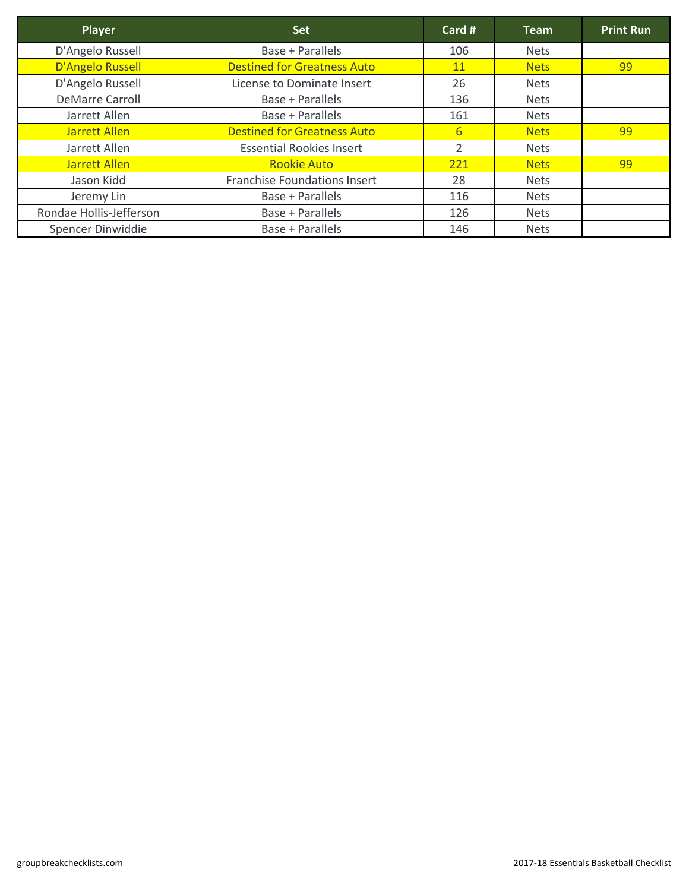| Player                   | <b>Set</b>                          | Card #          | <b>Team</b> | <b>Print Run</b> |
|--------------------------|-------------------------------------|-----------------|-------------|------------------|
| D'Angelo Russell         | <b>Base + Parallels</b>             | 106             | <b>Nets</b> |                  |
| D'Angelo Russell         | <b>Destined for Greatness Auto</b>  | 11              | <b>Nets</b> | 99               |
| D'Angelo Russell         | License to Dominate Insert          | 26              | <b>Nets</b> |                  |
| <b>DeMarre Carroll</b>   | <b>Base + Parallels</b>             | 136             | <b>Nets</b> |                  |
| Jarrett Allen            | Base + Parallels                    | 161             | <b>Nets</b> |                  |
| Jarrett Allen            | <b>Destined for Greatness Auto</b>  | $6 \overline{}$ | <b>Nets</b> | 99               |
| Jarrett Allen            | <b>Essential Rookies Insert</b>     | $\overline{2}$  | <b>Nets</b> |                  |
| <b>Jarrett Allen</b>     | <b>Rookie Auto</b>                  | 221             | <b>Nets</b> | 99               |
| Jason Kidd               | <b>Franchise Foundations Insert</b> | 28              | <b>Nets</b> |                  |
| Jeremy Lin               | <b>Base + Parallels</b>             | 116             | <b>Nets</b> |                  |
| Rondae Hollis-Jefferson  | <b>Base + Parallels</b>             | 126             | <b>Nets</b> |                  |
| <b>Spencer Dinwiddie</b> | <b>Base + Parallels</b>             | 146             | <b>Nets</b> |                  |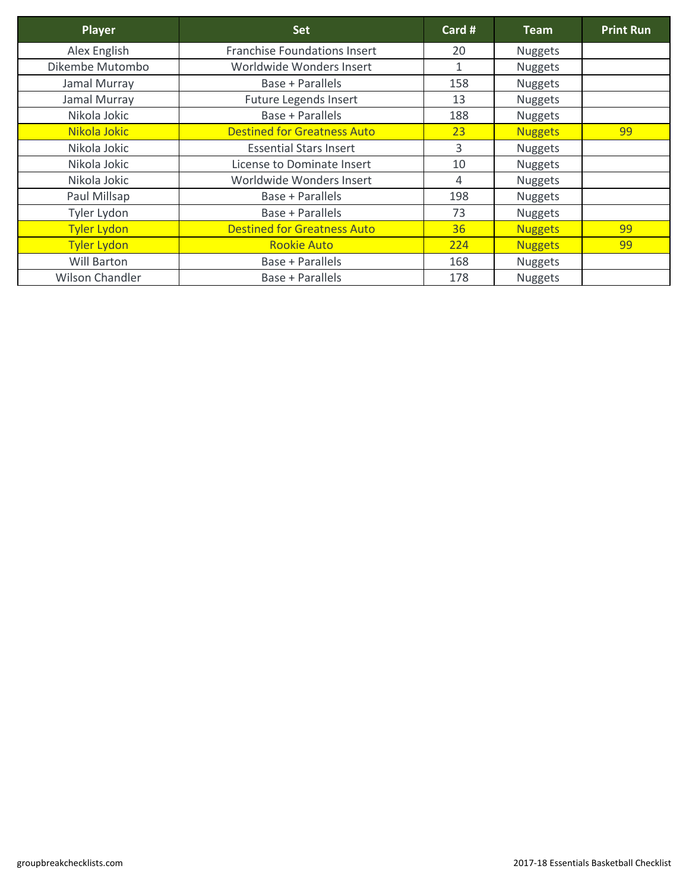| <b>Player</b>          | <b>Set</b>                          | Card #       | Team           | <b>Print Run</b> |
|------------------------|-------------------------------------|--------------|----------------|------------------|
| Alex English           | <b>Franchise Foundations Insert</b> | 20           | <b>Nuggets</b> |                  |
| Dikembe Mutombo        | Worldwide Wonders Insert            | $\mathbf{1}$ | <b>Nuggets</b> |                  |
| Jamal Murray           | <b>Base + Parallels</b>             | 158          | <b>Nuggets</b> |                  |
| Jamal Murray           | <b>Future Legends Insert</b>        | 13           | <b>Nuggets</b> |                  |
| Nikola Jokic           | Base + Parallels                    | 188          | <b>Nuggets</b> |                  |
| Nikola Jokic           | <b>Destined for Greatness Auto</b>  | 23           | <b>Nuggets</b> | 99               |
| Nikola Jokic           | <b>Essential Stars Insert</b>       | 3            | <b>Nuggets</b> |                  |
| Nikola Jokic           | <b>License to Dominate Insert</b>   | 10           | <b>Nuggets</b> |                  |
| Nikola Jokic           | Worldwide Wonders Insert            | 4            | <b>Nuggets</b> |                  |
| Paul Millsap           | <b>Base + Parallels</b>             | 198          | <b>Nuggets</b> |                  |
| Tyler Lydon            | Base + Parallels                    | 73           | <b>Nuggets</b> |                  |
| <b>Tyler Lydon</b>     | <b>Destined for Greatness Auto</b>  | 36           | <b>Nuggets</b> | 99               |
| <b>Tyler Lydon</b>     | <b>Rookie Auto</b>                  | 224          | <b>Nuggets</b> | 99               |
| <b>Will Barton</b>     | <b>Base + Parallels</b>             | 168          | <b>Nuggets</b> |                  |
| <b>Wilson Chandler</b> | Base + Parallels                    | 178          | <b>Nuggets</b> |                  |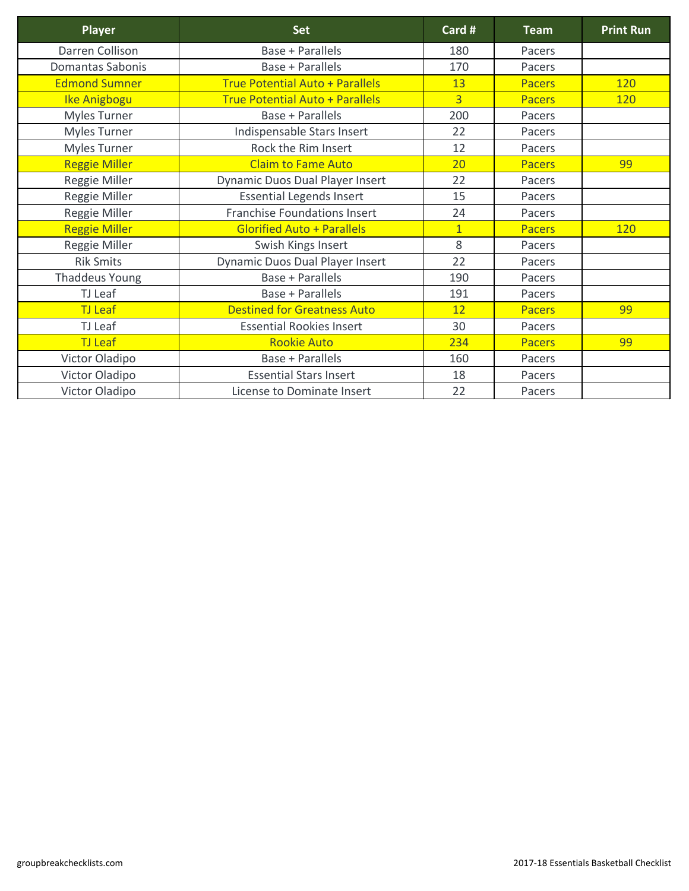| <b>Player</b>           | <b>Set</b>                             | Card #         | <b>Team</b>   | <b>Print Run</b> |
|-------------------------|----------------------------------------|----------------|---------------|------------------|
| <b>Darren Collison</b>  | <b>Base + Parallels</b>                | 180            | Pacers        |                  |
| <b>Domantas Sabonis</b> | <b>Base + Parallels</b>                | 170            | Pacers        |                  |
| <b>Edmond Sumner</b>    | <b>True Potential Auto + Parallels</b> | 13             | <b>Pacers</b> | 120              |
| Ike Anigbogu            | <b>True Potential Auto + Parallels</b> | $\overline{3}$ | <b>Pacers</b> | <b>120</b>       |
| <b>Myles Turner</b>     | <b>Base + Parallels</b>                | 200            | Pacers        |                  |
| <b>Myles Turner</b>     | Indispensable Stars Insert             | 22             | Pacers        |                  |
| <b>Myles Turner</b>     | Rock the Rim Insert                    | 12             | Pacers        |                  |
| <b>Reggie Miller</b>    | <b>Claim to Fame Auto</b>              | 20             | <b>Pacers</b> | 99               |
| Reggie Miller           | <b>Dynamic Duos Dual Player Insert</b> | 22             | Pacers        |                  |
| <b>Reggie Miller</b>    | <b>Essential Legends Insert</b>        | 15             | Pacers        |                  |
| Reggie Miller           | <b>Franchise Foundations Insert</b>    | 24             | Pacers        |                  |
| <b>Reggie Miller</b>    | <b>Glorified Auto + Parallels</b>      | $\overline{1}$ | <b>Pacers</b> | <b>120</b>       |
| Reggie Miller           | Swish Kings Insert                     | 8              | Pacers        |                  |
| <b>Rik Smits</b>        | <b>Dynamic Duos Dual Player Insert</b> | 22             | Pacers        |                  |
| <b>Thaddeus Young</b>   | <b>Base + Parallels</b>                | 190            | Pacers        |                  |
| TJ Leaf                 | <b>Base + Parallels</b>                | 191            | Pacers        |                  |
| <b>TJ</b> Leaf          | <b>Destined for Greatness Auto</b>     | 12             | <b>Pacers</b> | 99               |
| TJ Leaf                 | <b>Essential Rookies Insert</b>        | 30             | Pacers        |                  |
| <b>TJ Leaf</b>          | <b>Rookie Auto</b>                     | 234            | <b>Pacers</b> | 99               |
| Victor Oladipo          | <b>Base + Parallels</b>                | 160            | Pacers        |                  |
| Victor Oladipo          | <b>Essential Stars Insert</b>          | 18             | Pacers        |                  |
| <b>Victor Oladipo</b>   | <b>License to Dominate Insert</b>      | 22             | Pacers        |                  |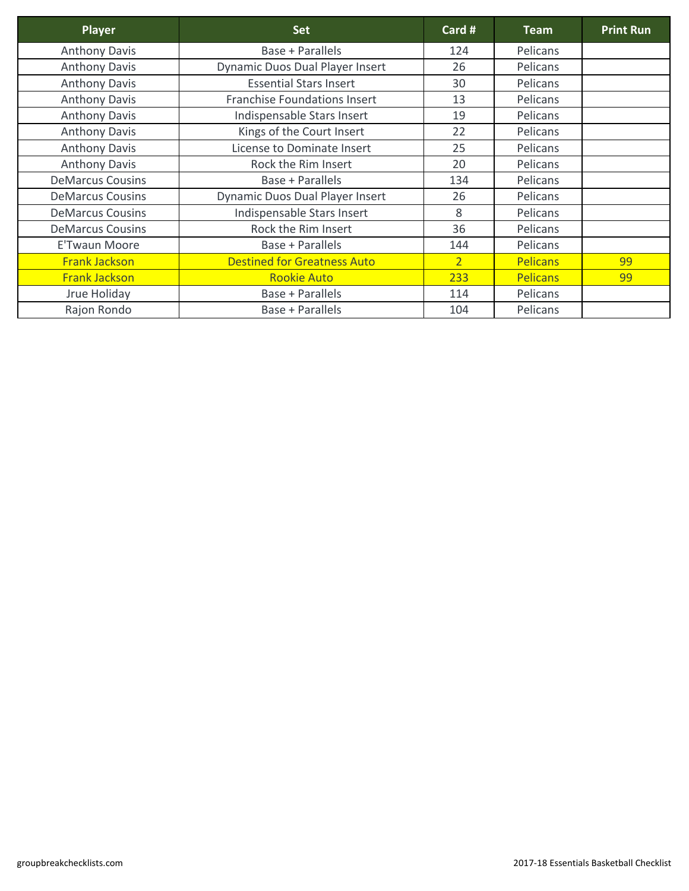| Player                  | <b>Set</b>                             | Card #         | <b>Team</b>     | <b>Print Run</b> |
|-------------------------|----------------------------------------|----------------|-----------------|------------------|
| <b>Anthony Davis</b>    | Base + Parallels                       | 124            | Pelicans        |                  |
| <b>Anthony Davis</b>    | <b>Dynamic Duos Dual Player Insert</b> | 26             | Pelicans        |                  |
| <b>Anthony Davis</b>    | <b>Essential Stars Insert</b>          | 30             | Pelicans        |                  |
| <b>Anthony Davis</b>    | <b>Franchise Foundations Insert</b>    | 13             | Pelicans        |                  |
| <b>Anthony Davis</b>    | Indispensable Stars Insert             | 19             | Pelicans        |                  |
| <b>Anthony Davis</b>    | Kings of the Court Insert              | 22             | Pelicans        |                  |
| <b>Anthony Davis</b>    | License to Dominate Insert             | 25             | Pelicans        |                  |
| <b>Anthony Davis</b>    | Rock the Rim Insert                    | 20             | Pelicans        |                  |
| <b>DeMarcus Cousins</b> | Base + Parallels                       | 134            | Pelicans        |                  |
| <b>DeMarcus Cousins</b> | <b>Dynamic Duos Dual Player Insert</b> | 26             | Pelicans        |                  |
| <b>DeMarcus Cousins</b> | Indispensable Stars Insert             | 8              | Pelicans        |                  |
| <b>DeMarcus Cousins</b> | Rock the Rim Insert                    | 36             | Pelicans        |                  |
| <b>E'Twaun Moore</b>    | <b>Base + Parallels</b>                | 144            | Pelicans        |                  |
| <b>Frank Jackson</b>    | <b>Destined for Greatness Auto</b>     | $\overline{2}$ | <b>Pelicans</b> | 99               |
| <b>Frank Jackson</b>    | <b>Rookie Auto</b>                     | 233            | <b>Pelicans</b> | 99               |
| Jrue Holiday            | Base + Parallels                       | 114            | Pelicans        |                  |
| Rajon Rondo             | <b>Base + Parallels</b>                | 104            | Pelicans        |                  |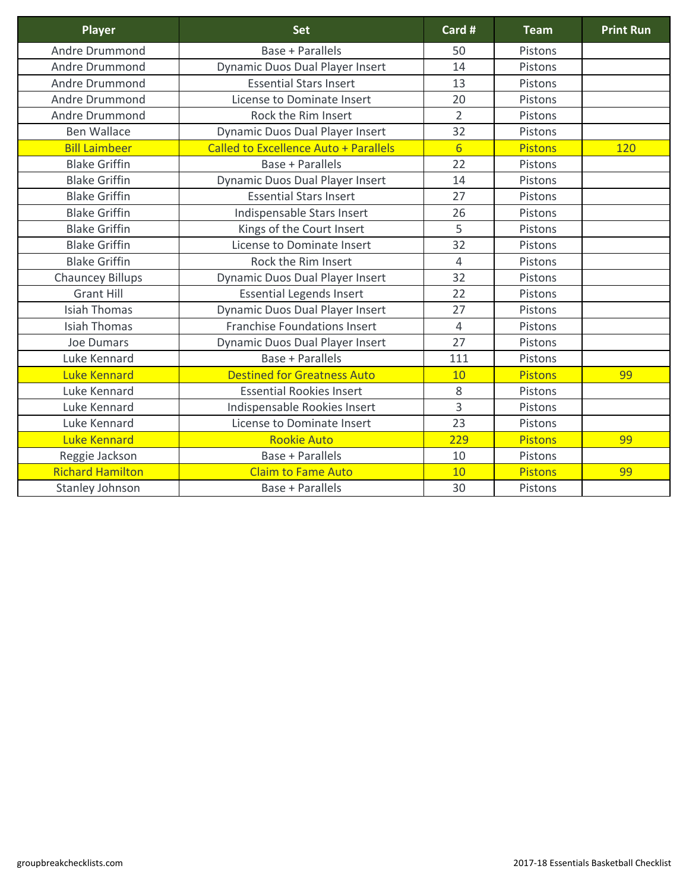| <b>Player</b>           | <b>Set</b>                                   | Card #          | <b>Team</b>    | <b>Print Run</b> |
|-------------------------|----------------------------------------------|-----------------|----------------|------------------|
| <b>Andre Drummond</b>   | <b>Base + Parallels</b>                      | 50              | Pistons        |                  |
| <b>Andre Drummond</b>   | <b>Dynamic Duos Dual Player Insert</b>       | 14              | Pistons        |                  |
| <b>Andre Drummond</b>   | <b>Essential Stars Insert</b>                | 13              | Pistons        |                  |
| <b>Andre Drummond</b>   | License to Dominate Insert                   | 20              | Pistons        |                  |
| Andre Drummond          | Rock the Rim Insert                          | $\overline{2}$  | Pistons        |                  |
| <b>Ben Wallace</b>      | <b>Dynamic Duos Dual Player Insert</b>       | 32              | Pistons        |                  |
| <b>Bill Laimbeer</b>    | <b>Called to Excellence Auto + Parallels</b> | $6 \overline{}$ | <b>Pistons</b> | 120              |
| <b>Blake Griffin</b>    | <b>Base + Parallels</b>                      | 22              | Pistons        |                  |
| <b>Blake Griffin</b>    | <b>Dynamic Duos Dual Player Insert</b>       | 14              | Pistons        |                  |
| <b>Blake Griffin</b>    | <b>Essential Stars Insert</b>                | 27              | Pistons        |                  |
| <b>Blake Griffin</b>    | Indispensable Stars Insert                   | 26              | Pistons        |                  |
| <b>Blake Griffin</b>    | Kings of the Court Insert                    | 5               | Pistons        |                  |
| <b>Blake Griffin</b>    | License to Dominate Insert                   | 32              | Pistons        |                  |
| <b>Blake Griffin</b>    | Rock the Rim Insert                          | $\overline{4}$  | Pistons        |                  |
| <b>Chauncey Billups</b> | <b>Dynamic Duos Dual Player Insert</b>       | 32              | Pistons        |                  |
| <b>Grant Hill</b>       | <b>Essential Legends Insert</b>              | 22              | Pistons        |                  |
| <b>Isiah Thomas</b>     | <b>Dynamic Duos Dual Player Insert</b>       | 27              | Pistons        |                  |
| <b>Isiah Thomas</b>     | <b>Franchise Foundations Insert</b>          | $\overline{4}$  | Pistons        |                  |
| <b>Joe Dumars</b>       | <b>Dynamic Duos Dual Player Insert</b>       | 27              | Pistons        |                  |
| Luke Kennard            | <b>Base + Parallels</b>                      | 111             | Pistons        |                  |
| <b>Luke Kennard</b>     | <b>Destined for Greatness Auto</b>           | 10              | <b>Pistons</b> | 99               |
| Luke Kennard            | <b>Essential Rookies Insert</b>              | 8               | Pistons        |                  |
| Luke Kennard            | Indispensable Rookies Insert                 | 3               | Pistons        |                  |
| Luke Kennard            | License to Dominate Insert                   | 23              | Pistons        |                  |
| <b>Luke Kennard</b>     | <b>Rookie Auto</b>                           | 229             | <b>Pistons</b> | 99               |
| Reggie Jackson          | <b>Base + Parallels</b>                      | 10              | Pistons        |                  |
| <b>Richard Hamilton</b> | <b>Claim to Fame Auto</b>                    | <b>10</b>       | <b>Pistons</b> | 99               |
| Stanley Johnson         | <b>Base + Parallels</b>                      | 30              | Pistons        |                  |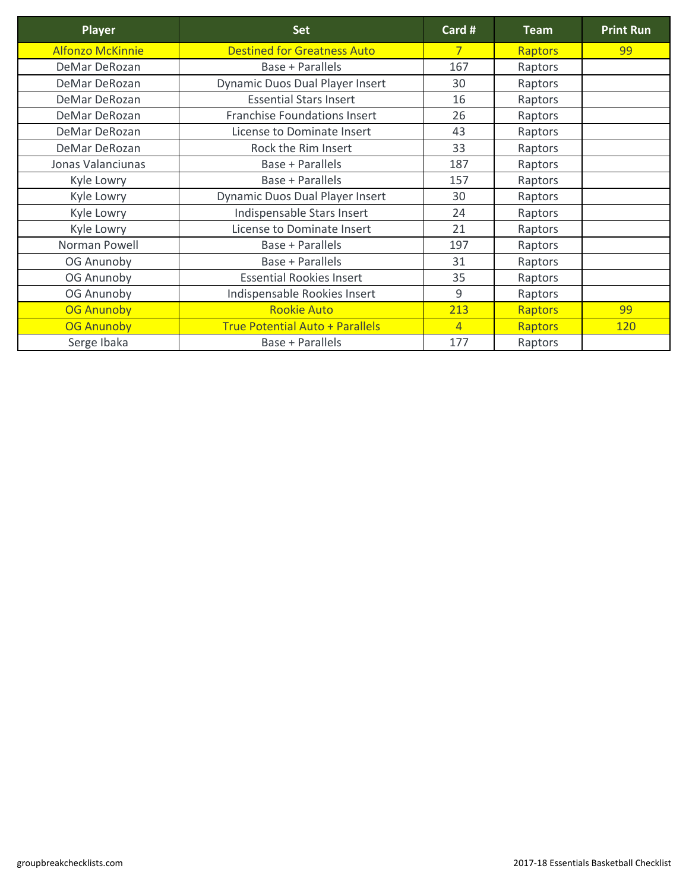| <b>Player</b>           | <b>Set</b>                             | Card #          | <b>Team</b>    | <b>Print Run</b> |
|-------------------------|----------------------------------------|-----------------|----------------|------------------|
| <b>Alfonzo McKinnie</b> | <b>Destined for Greatness Auto</b>     | $7\phantom{.0}$ | <b>Raptors</b> | 99               |
| DeMar DeRozan           | <b>Base + Parallels</b>                | 167             | Raptors        |                  |
| DeMar DeRozan           | <b>Dynamic Duos Dual Player Insert</b> | 30              | Raptors        |                  |
| DeMar DeRozan           | <b>Essential Stars Insert</b>          | 16              | Raptors        |                  |
| <b>DeMar DeRozan</b>    | <b>Franchise Foundations Insert</b>    | 26              | Raptors        |                  |
| <b>DeMar DeRozan</b>    | <b>License to Dominate Insert</b>      | 43              | Raptors        |                  |
| DeMar DeRozan           | Rock the Rim Insert                    | 33              | Raptors        |                  |
| Jonas Valanciunas       | <b>Base + Parallels</b>                | 187             | Raptors        |                  |
| Kyle Lowry              | <b>Base + Parallels</b>                | 157             | Raptors        |                  |
| Kyle Lowry              | <b>Dynamic Duos Dual Player Insert</b> | 30              | Raptors        |                  |
| Kyle Lowry              | Indispensable Stars Insert             | 24              | Raptors        |                  |
| Kyle Lowry              | <b>License to Dominate Insert</b>      | 21              | Raptors        |                  |
| Norman Powell           | <b>Base + Parallels</b>                | 197             | Raptors        |                  |
| <b>OG Anunoby</b>       | <b>Base + Parallels</b>                | 31              | Raptors        |                  |
| <b>OG Anunoby</b>       | <b>Essential Rookies Insert</b>        | 35              | Raptors        |                  |
| <b>OG Anunoby</b>       | Indispensable Rookies Insert           | 9               | Raptors        |                  |
| <b>OG Anunoby</b>       | <b>Rookie Auto</b>                     | 213             | <b>Raptors</b> | 99               |
| <b>OG Anunoby</b>       | <b>True Potential Auto + Parallels</b> | $\overline{4}$  | <b>Raptors</b> | <b>120</b>       |
| Serge Ibaka             | <b>Base + Parallels</b>                | 177             | Raptors        |                  |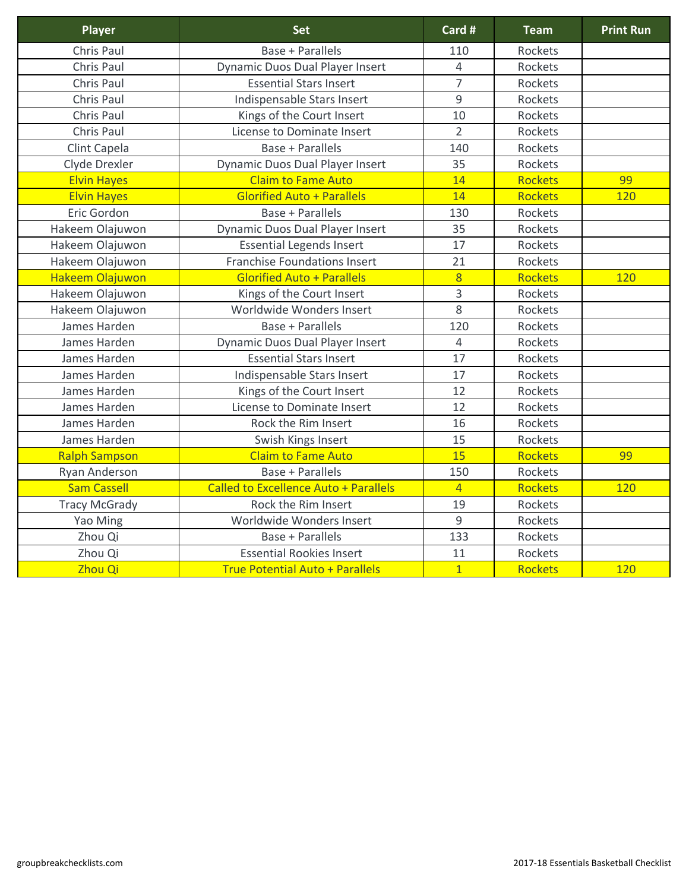| <b>Player</b>          | <b>Set</b>                                   | Card #         | <b>Team</b>    | <b>Print Run</b> |
|------------------------|----------------------------------------------|----------------|----------------|------------------|
| <b>Chris Paul</b>      | <b>Base + Parallels</b>                      | 110            | <b>Rockets</b> |                  |
| Chris Paul             | <b>Dynamic Duos Dual Player Insert</b>       | 4              | Rockets        |                  |
| Chris Paul             | <b>Essential Stars Insert</b>                | $\overline{7}$ | Rockets        |                  |
| Chris Paul             | Indispensable Stars Insert                   | 9              | Rockets        |                  |
| Chris Paul             | Kings of the Court Insert                    | 10             | Rockets        |                  |
| Chris Paul             | <b>License to Dominate Insert</b>            | $\overline{2}$ | <b>Rockets</b> |                  |
| <b>Clint Capela</b>    | <b>Base + Parallels</b>                      | 140            | <b>Rockets</b> |                  |
| Clyde Drexler          | <b>Dynamic Duos Dual Player Insert</b>       | 35             | <b>Rockets</b> |                  |
| <b>Elvin Hayes</b>     | <b>Claim to Fame Auto</b>                    | 14             | <b>Rockets</b> | 99               |
| <b>Elvin Hayes</b>     | <b>Glorified Auto + Parallels</b>            | 14             | <b>Rockets</b> | 120              |
| Eric Gordon            | Base + Parallels                             | 130            | <b>Rockets</b> |                  |
| Hakeem Olajuwon        | <b>Dynamic Duos Dual Player Insert</b>       | 35             | <b>Rockets</b> |                  |
| Hakeem Olajuwon        | <b>Essential Legends Insert</b>              | 17             | <b>Rockets</b> |                  |
| Hakeem Olajuwon        | <b>Franchise Foundations Insert</b>          | 21             | <b>Rockets</b> |                  |
| <b>Hakeem Olajuwon</b> | <b>Glorified Auto + Parallels</b>            | 8              | <b>Rockets</b> | 120              |
| Hakeem Olajuwon        | Kings of the Court Insert                    | 3              | <b>Rockets</b> |                  |
| Hakeem Olajuwon        | Worldwide Wonders Insert                     | 8              | Rockets        |                  |
| James Harden           | <b>Base + Parallels</b>                      | 120            | Rockets        |                  |
| James Harden           | <b>Dynamic Duos Dual Player Insert</b>       | $\overline{4}$ | Rockets        |                  |
| James Harden           | <b>Essential Stars Insert</b>                | 17             | Rockets        |                  |
| James Harden           | Indispensable Stars Insert                   | 17             | Rockets        |                  |
| James Harden           | Kings of the Court Insert                    | 12             | Rockets        |                  |
| James Harden           | License to Dominate Insert                   | 12             | Rockets        |                  |
| James Harden           | Rock the Rim Insert                          | 16             | Rockets        |                  |
| James Harden           | Swish Kings Insert                           | 15             | Rockets        |                  |
| <b>Ralph Sampson</b>   | <b>Claim to Fame Auto</b>                    | 15             | <b>Rockets</b> | 99               |
| Ryan Anderson          | <b>Base + Parallels</b>                      | 150            | <b>Rockets</b> |                  |
| <b>Sam Cassell</b>     | <b>Called to Excellence Auto + Parallels</b> | $\overline{4}$ | <b>Rockets</b> | 120              |
| <b>Tracy McGrady</b>   | Rock the Rim Insert                          | 19             | <b>Rockets</b> |                  |
| Yao Ming               | Worldwide Wonders Insert                     | 9              | Rockets        |                  |
| Zhou Qi                | <b>Base + Parallels</b>                      | 133            | Rockets        |                  |
| Zhou Qi                | <b>Essential Rookies Insert</b>              | 11             | Rockets        |                  |
| Zhou Qi                | <b>True Potential Auto + Parallels</b>       | $\mathbf{1}$   | <b>Rockets</b> | 120              |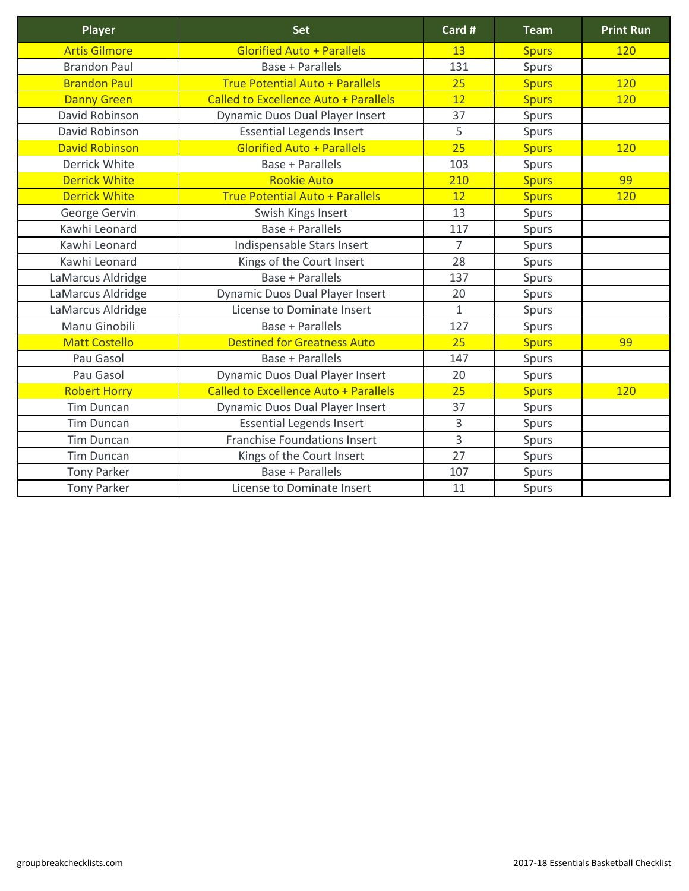| <b>Player</b>         | <b>Set</b>                                   | Card #         | <b>Team</b>  | <b>Print Run</b> |
|-----------------------|----------------------------------------------|----------------|--------------|------------------|
| <b>Artis Gilmore</b>  | <b>Glorified Auto + Parallels</b>            | 13             | <b>Spurs</b> | <b>120</b>       |
| <b>Brandon Paul</b>   | <b>Base + Parallels</b>                      | 131            | Spurs        |                  |
| <b>Brandon Paul</b>   | <b>True Potential Auto + Parallels</b>       | 25             | <b>Spurs</b> | 120              |
| <b>Danny Green</b>    | <b>Called to Excellence Auto + Parallels</b> | 12             | <b>Spurs</b> | 120              |
| David Robinson        | <b>Dynamic Duos Dual Player Insert</b>       | 37             | Spurs        |                  |
| David Robinson        | <b>Essential Legends Insert</b>              | 5              | Spurs        |                  |
| <b>David Robinson</b> | <b>Glorified Auto + Parallels</b>            | 25             | <b>Spurs</b> | 120              |
| <b>Derrick White</b>  | <b>Base + Parallels</b>                      | 103            | Spurs        |                  |
| <b>Derrick White</b>  | <b>Rookie Auto</b>                           | 210            | <b>Spurs</b> | 99               |
| <b>Derrick White</b>  | <b>True Potential Auto + Parallels</b>       | 12             | <b>Spurs</b> | 120              |
| George Gervin         | Swish Kings Insert                           | 13             | <b>Spurs</b> |                  |
| Kawhi Leonard         | <b>Base + Parallels</b>                      | 117            | Spurs        |                  |
| Kawhi Leonard         | Indispensable Stars Insert                   | $\overline{7}$ | Spurs        |                  |
| Kawhi Leonard         | Kings of the Court Insert                    | 28             | <b>Spurs</b> |                  |
| LaMarcus Aldridge     | <b>Base + Parallels</b>                      | 137            | <b>Spurs</b> |                  |
| LaMarcus Aldridge     | <b>Dynamic Duos Dual Player Insert</b>       | 20             | <b>Spurs</b> |                  |
| LaMarcus Aldridge     | License to Dominate Insert                   | $\mathbf{1}$   | Spurs        |                  |
| Manu Ginobili         | <b>Base + Parallels</b>                      | 127            | Spurs        |                  |
| <b>Matt Costello</b>  | <b>Destined for Greatness Auto</b>           | 25             | <b>Spurs</b> | 99               |
| Pau Gasol             | <b>Base + Parallels</b>                      | 147            | Spurs        |                  |
| Pau Gasol             | <b>Dynamic Duos Dual Player Insert</b>       | 20             | Spurs        |                  |
| <b>Robert Horry</b>   | <b>Called to Excellence Auto + Parallels</b> | 25             | <b>Spurs</b> | 120              |
| <b>Tim Duncan</b>     | <b>Dynamic Duos Dual Player Insert</b>       | 37             | <b>Spurs</b> |                  |
| Tim Duncan            | <b>Essential Legends Insert</b>              | $\overline{3}$ | Spurs        |                  |
| <b>Tim Duncan</b>     | <b>Franchise Foundations Insert</b>          | $\overline{3}$ | Spurs        |                  |
| <b>Tim Duncan</b>     | Kings of the Court Insert                    | 27             | <b>Spurs</b> |                  |
| <b>Tony Parker</b>    | <b>Base + Parallels</b>                      | 107            | Spurs        |                  |
| <b>Tony Parker</b>    | License to Dominate Insert                   | 11             | Spurs        |                  |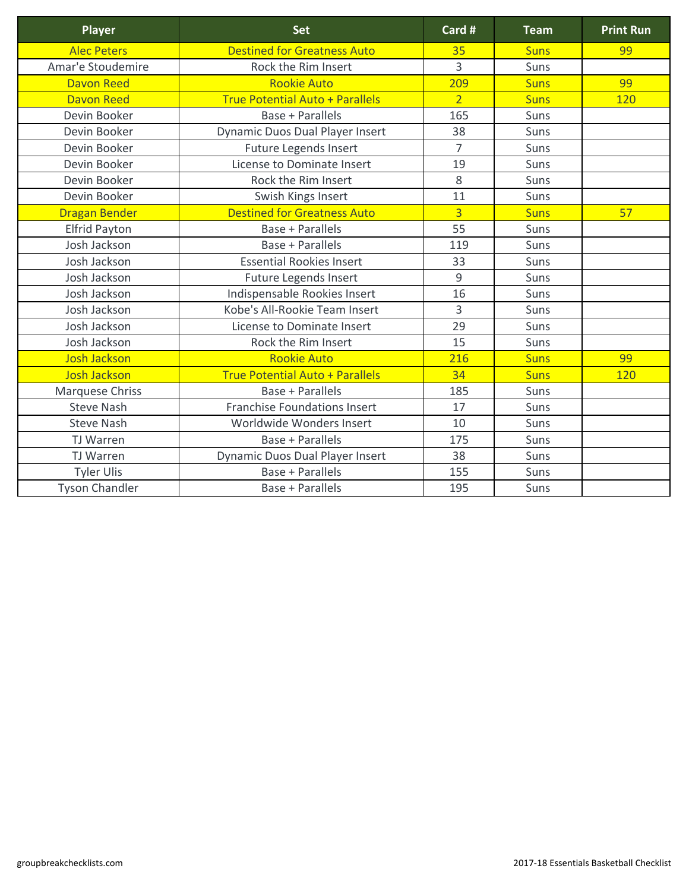| <b>Player</b>          | <b>Set</b>                             | Card #         | <b>Team</b> | <b>Print Run</b> |
|------------------------|----------------------------------------|----------------|-------------|------------------|
| <b>Alec Peters</b>     | <b>Destined for Greatness Auto</b>     | 35             | <b>Suns</b> | 99               |
| Amar'e Stoudemire      | Rock the Rim Insert                    | 3              | <b>Suns</b> |                  |
| <b>Davon Reed</b>      | <b>Rookie Auto</b>                     | 209            | <b>Suns</b> | 99               |
| <b>Davon Reed</b>      | <b>True Potential Auto + Parallels</b> | $\overline{2}$ | <b>Suns</b> | 120              |
| Devin Booker           | Base + Parallels                       | 165            | <b>Suns</b> |                  |
| Devin Booker           | <b>Dynamic Duos Dual Player Insert</b> | 38             | <b>Suns</b> |                  |
| Devin Booker           | Future Legends Insert                  | $\overline{7}$ | <b>Suns</b> |                  |
| Devin Booker           | License to Dominate Insert             | 19             | <b>Suns</b> |                  |
| Devin Booker           | Rock the Rim Insert                    | 8              | <b>Suns</b> |                  |
| Devin Booker           | Swish Kings Insert                     | 11             | <b>Suns</b> |                  |
| <b>Dragan Bender</b>   | <b>Destined for Greatness Auto</b>     | $\overline{3}$ | <b>Suns</b> | 57               |
| <b>Elfrid Payton</b>   | <b>Base + Parallels</b>                | 55             | Suns        |                  |
| Josh Jackson           | <b>Base + Parallels</b>                | 119            | <b>Suns</b> |                  |
| Josh Jackson           | <b>Essential Rookies Insert</b>        | 33             | <b>Suns</b> |                  |
| Josh Jackson           | <b>Future Legends Insert</b>           | 9              | <b>Suns</b> |                  |
| Josh Jackson           | Indispensable Rookies Insert           | 16             | <b>Suns</b> |                  |
| Josh Jackson           | Kobe's All-Rookie Team Insert          | 3              | <b>Suns</b> |                  |
| Josh Jackson           | License to Dominate Insert             | 29             | Suns        |                  |
| Josh Jackson           | Rock the Rim Insert                    | 15             | Suns        |                  |
| <b>Josh Jackson</b>    | <b>Rookie Auto</b>                     | 216            | <b>Suns</b> | 99               |
| <b>Josh Jackson</b>    | <b>True Potential Auto + Parallels</b> | 34             | <b>Suns</b> | 120              |
| <b>Marquese Chriss</b> | <b>Base + Parallels</b>                | 185            | Suns        |                  |
| <b>Steve Nash</b>      | <b>Franchise Foundations Insert</b>    | 17             | Suns        |                  |
| <b>Steve Nash</b>      | Worldwide Wonders Insert               | 10             | Suns        |                  |
| TJ Warren              | <b>Base + Parallels</b>                | 175            | <b>Suns</b> |                  |
| TJ Warren              | <b>Dynamic Duos Dual Player Insert</b> | 38             | Suns        |                  |
| <b>Tyler Ulis</b>      | <b>Base + Parallels</b>                | 155            | Suns        |                  |
| <b>Tyson Chandler</b>  | <b>Base + Parallels</b>                | 195            | Suns        |                  |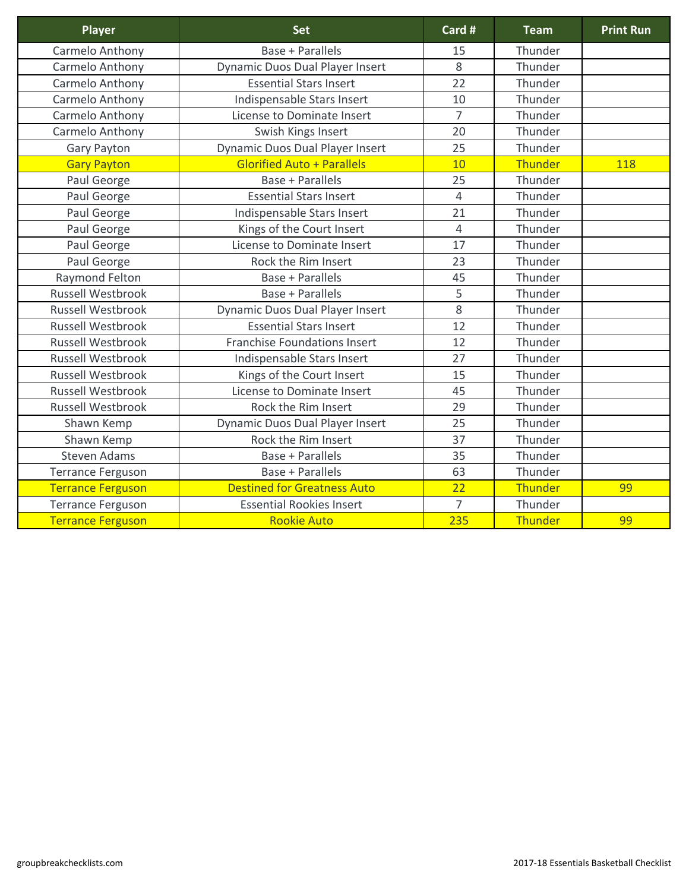| <b>Player</b>            | <b>Set</b>                             | Card #         | <b>Team</b>    | <b>Print Run</b> |
|--------------------------|----------------------------------------|----------------|----------------|------------------|
| Carmelo Anthony          | <b>Base + Parallels</b>                | 15             | Thunder        |                  |
| Carmelo Anthony          | <b>Dynamic Duos Dual Player Insert</b> | 8              | Thunder        |                  |
| Carmelo Anthony          | <b>Essential Stars Insert</b>          | 22             | Thunder        |                  |
| Carmelo Anthony          | Indispensable Stars Insert             | 10             | Thunder        |                  |
| Carmelo Anthony          | License to Dominate Insert             | $\overline{7}$ | Thunder        |                  |
| Carmelo Anthony          | Swish Kings Insert                     | 20             | Thunder        |                  |
| <b>Gary Payton</b>       | <b>Dynamic Duos Dual Player Insert</b> | 25             | Thunder        |                  |
| <b>Gary Payton</b>       | <b>Glorified Auto + Parallels</b>      | 10             | <b>Thunder</b> | 118              |
| Paul George              | <b>Base + Parallels</b>                | 25             | Thunder        |                  |
| Paul George              | <b>Essential Stars Insert</b>          | $\overline{4}$ | Thunder        |                  |
| Paul George              | Indispensable Stars Insert             | 21             | Thunder        |                  |
| Paul George              | Kings of the Court Insert              | $\overline{4}$ | Thunder        |                  |
| Paul George              | License to Dominate Insert             | 17             | Thunder        |                  |
| Paul George              | Rock the Rim Insert                    | 23             | Thunder        |                  |
| Raymond Felton           | <b>Base + Parallels</b>                | 45             | Thunder        |                  |
| <b>Russell Westbrook</b> | <b>Base + Parallels</b>                | 5              | Thunder        |                  |
| <b>Russell Westbrook</b> | <b>Dynamic Duos Dual Player Insert</b> | 8              | Thunder        |                  |
| <b>Russell Westbrook</b> | <b>Essential Stars Insert</b>          | 12             | Thunder        |                  |
| <b>Russell Westbrook</b> | <b>Franchise Foundations Insert</b>    | 12             | Thunder        |                  |
| <b>Russell Westbrook</b> | Indispensable Stars Insert             | 27             | Thunder        |                  |
| <b>Russell Westbrook</b> | Kings of the Court Insert              | 15             | Thunder        |                  |
| <b>Russell Westbrook</b> | License to Dominate Insert             | 45             | Thunder        |                  |
| <b>Russell Westbrook</b> | Rock the Rim Insert                    | 29             | Thunder        |                  |
| Shawn Kemp               | <b>Dynamic Duos Dual Player Insert</b> | 25             | Thunder        |                  |
| Shawn Kemp               | Rock the Rim Insert                    | 37             | Thunder        |                  |
| <b>Steven Adams</b>      | <b>Base + Parallels</b>                | 35             | Thunder        |                  |
| <b>Terrance Ferguson</b> | <b>Base + Parallels</b>                | 63             | Thunder        |                  |
| <b>Terrance Ferguson</b> | <b>Destined for Greatness Auto</b>     | 22             | <b>Thunder</b> | 99               |
| <b>Terrance Ferguson</b> | <b>Essential Rookies Insert</b>        | $\overline{7}$ | Thunder        |                  |
| <b>Terrance Ferguson</b> | <b>Rookie Auto</b>                     | 235            | Thunder        | 99               |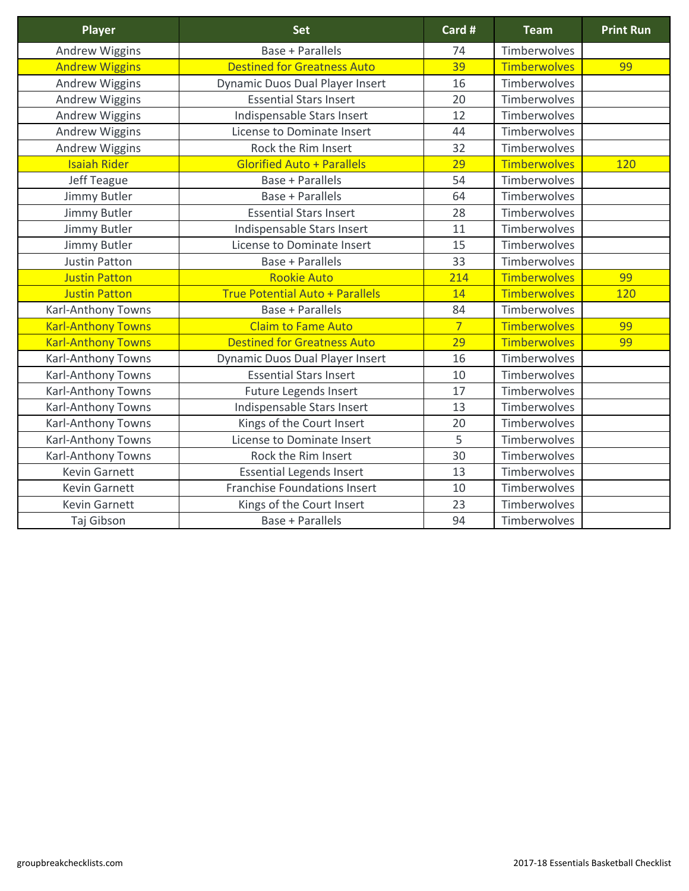| <b>Player</b>             | <b>Set</b>                             | Card #         | <b>Team</b>         | <b>Print Run</b> |
|---------------------------|----------------------------------------|----------------|---------------------|------------------|
| <b>Andrew Wiggins</b>     | <b>Base + Parallels</b>                | 74             | Timberwolves        |                  |
| <b>Andrew Wiggins</b>     | <b>Destined for Greatness Auto</b>     | 39             | <b>Timberwolves</b> | 99               |
| <b>Andrew Wiggins</b>     | <b>Dynamic Duos Dual Player Insert</b> | 16             | <b>Timberwolves</b> |                  |
| <b>Andrew Wiggins</b>     | <b>Essential Stars Insert</b>          | 20             | Timberwolves        |                  |
| <b>Andrew Wiggins</b>     | Indispensable Stars Insert             | 12             | Timberwolves        |                  |
| <b>Andrew Wiggins</b>     | <b>License to Dominate Insert</b>      | 44             | Timberwolves        |                  |
| Andrew Wiggins            | Rock the Rim Insert                    | 32             | Timberwolves        |                  |
| <b>Isaiah Rider</b>       | <b>Glorified Auto + Parallels</b>      | 29             | <b>Timberwolves</b> | 120              |
| Jeff Teague               | <b>Base + Parallels</b>                | 54             | Timberwolves        |                  |
| Jimmy Butler              | Base + Parallels                       | 64             | Timberwolves        |                  |
| Jimmy Butler              | <b>Essential Stars Insert</b>          | 28             | <b>Timberwolves</b> |                  |
| Jimmy Butler              | Indispensable Stars Insert             | 11             | <b>Timberwolves</b> |                  |
| Jimmy Butler              | <b>License to Dominate Insert</b>      | 15             | Timberwolves        |                  |
| <b>Justin Patton</b>      | <b>Base + Parallels</b>                | 33             | Timberwolves        |                  |
| <b>Justin Patton</b>      | <b>Rookie Auto</b>                     | 214            | <b>Timberwolves</b> | 99               |
| <b>Justin Patton</b>      | <b>True Potential Auto + Parallels</b> | 14             | <b>Timberwolves</b> | 120              |
| <b>Karl-Anthony Towns</b> | <b>Base + Parallels</b>                | 84             | Timberwolves        |                  |
| <b>Karl-Anthony Towns</b> | <b>Claim to Fame Auto</b>              | $\overline{7}$ | <b>Timberwolves</b> | 99               |
| <b>Karl-Anthony Towns</b> | <b>Destined for Greatness Auto</b>     | 29             | <b>Timberwolves</b> | 99               |
| <b>Karl-Anthony Towns</b> | <b>Dynamic Duos Dual Player Insert</b> | 16             | Timberwolves        |                  |
| <b>Karl-Anthony Towns</b> | <b>Essential Stars Insert</b>          | 10             | Timberwolves        |                  |
| <b>Karl-Anthony Towns</b> | <b>Future Legends Insert</b>           | 17             | Timberwolves        |                  |
| <b>Karl-Anthony Towns</b> | Indispensable Stars Insert             | 13             | Timberwolves        |                  |
| <b>Karl-Anthony Towns</b> | Kings of the Court Insert              | 20             | Timberwolves        |                  |
| <b>Karl-Anthony Towns</b> | License to Dominate Insert             | 5              | <b>Timberwolves</b> |                  |
| <b>Karl-Anthony Towns</b> | Rock the Rim Insert                    | 30             | Timberwolves        |                  |
| <b>Kevin Garnett</b>      | <b>Essential Legends Insert</b>        | 13             | Timberwolves        |                  |
| <b>Kevin Garnett</b>      | <b>Franchise Foundations Insert</b>    | 10             | Timberwolves        |                  |
| <b>Kevin Garnett</b>      | Kings of the Court Insert              | 23             | Timberwolves        |                  |
| Taj Gibson                | <b>Base + Parallels</b>                | 94             | Timberwolves        |                  |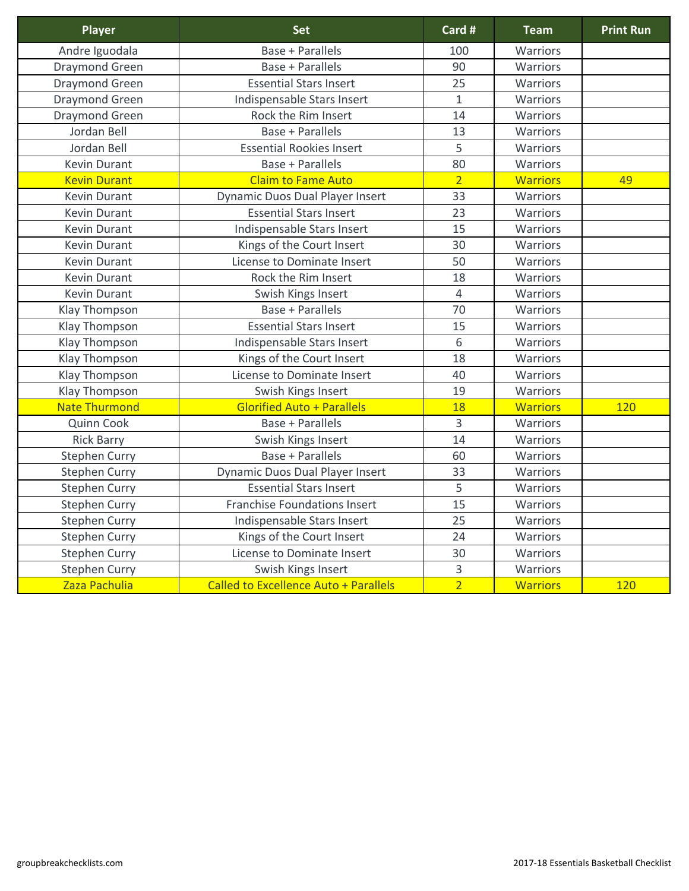| <b>Player</b>         | <b>Set</b>                                   | Card #         | <b>Team</b>     | <b>Print Run</b> |
|-----------------------|----------------------------------------------|----------------|-----------------|------------------|
| Andre Iguodala        | <b>Base + Parallels</b>                      | 100            | Warriors        |                  |
| <b>Draymond Green</b> | Base + Parallels                             | 90             | Warriors        |                  |
| <b>Draymond Green</b> | <b>Essential Stars Insert</b>                | 25             | Warriors        |                  |
| <b>Draymond Green</b> | Indispensable Stars Insert                   | $\mathbf{1}$   | <b>Warriors</b> |                  |
| <b>Draymond Green</b> | Rock the Rim Insert                          | 14             | <b>Warriors</b> |                  |
| Jordan Bell           | <b>Base + Parallels</b>                      | 13             | <b>Warriors</b> |                  |
| Jordan Bell           | <b>Essential Rookies Insert</b>              | 5              | <b>Warriors</b> |                  |
| <b>Kevin Durant</b>   | <b>Base + Parallels</b>                      | 80             | Warriors        |                  |
| <b>Kevin Durant</b>   | <b>Claim to Fame Auto</b>                    | $\overline{2}$ | <b>Warriors</b> | 49               |
| <b>Kevin Durant</b>   | <b>Dynamic Duos Dual Player Insert</b>       | 33             | <b>Warriors</b> |                  |
| <b>Kevin Durant</b>   | <b>Essential Stars Insert</b>                | 23             | Warriors        |                  |
| <b>Kevin Durant</b>   | Indispensable Stars Insert                   | 15             | <b>Warriors</b> |                  |
| <b>Kevin Durant</b>   | Kings of the Court Insert                    | 30             | <b>Warriors</b> |                  |
| <b>Kevin Durant</b>   | <b>License to Dominate Insert</b>            | 50             | Warriors        |                  |
| <b>Kevin Durant</b>   | Rock the Rim Insert                          | 18             | Warriors        |                  |
| <b>Kevin Durant</b>   | Swish Kings Insert                           | $\overline{4}$ | Warriors        |                  |
| <b>Klay Thompson</b>  | <b>Base + Parallels</b>                      | 70             | Warriors        |                  |
| <b>Klay Thompson</b>  | <b>Essential Stars Insert</b>                | 15             | Warriors        |                  |
| <b>Klay Thompson</b>  | Indispensable Stars Insert                   | 6              | Warriors        |                  |
| <b>Klay Thompson</b>  | Kings of the Court Insert                    | 18             | Warriors        |                  |
| <b>Klay Thompson</b>  | License to Dominate Insert                   | 40             | Warriors        |                  |
| <b>Klay Thompson</b>  | Swish Kings Insert                           | 19             | Warriors        |                  |
| <b>Nate Thurmond</b>  | <b>Glorified Auto + Parallels</b>            | 18             | <b>Warriors</b> | 120              |
| <b>Quinn Cook</b>     | <b>Base + Parallels</b>                      | 3              | Warriors        |                  |
| <b>Rick Barry</b>     | Swish Kings Insert                           | 14             | <b>Warriors</b> |                  |
| <b>Stephen Curry</b>  | <b>Base + Parallels</b>                      | 60             | <b>Warriors</b> |                  |
| <b>Stephen Curry</b>  | <b>Dynamic Duos Dual Player Insert</b>       | 33             | Warriors        |                  |
| <b>Stephen Curry</b>  | <b>Essential Stars Insert</b>                | 5              | <b>Warriors</b> |                  |
| <b>Stephen Curry</b>  | <b>Franchise Foundations Insert</b>          | 15             | Warriors        |                  |
| <b>Stephen Curry</b>  | Indispensable Stars Insert                   | 25             | <b>Warriors</b> |                  |
| <b>Stephen Curry</b>  | Kings of the Court Insert                    | 24             | <b>Warriors</b> |                  |
| <b>Stephen Curry</b>  | License to Dominate Insert                   | 30             | <b>Warriors</b> |                  |
| <b>Stephen Curry</b>  | Swish Kings Insert                           | 3              | <b>Warriors</b> |                  |
| Zaza Pachulia         | <b>Called to Excellence Auto + Parallels</b> | $\overline{2}$ | <b>Warriors</b> | 120              |